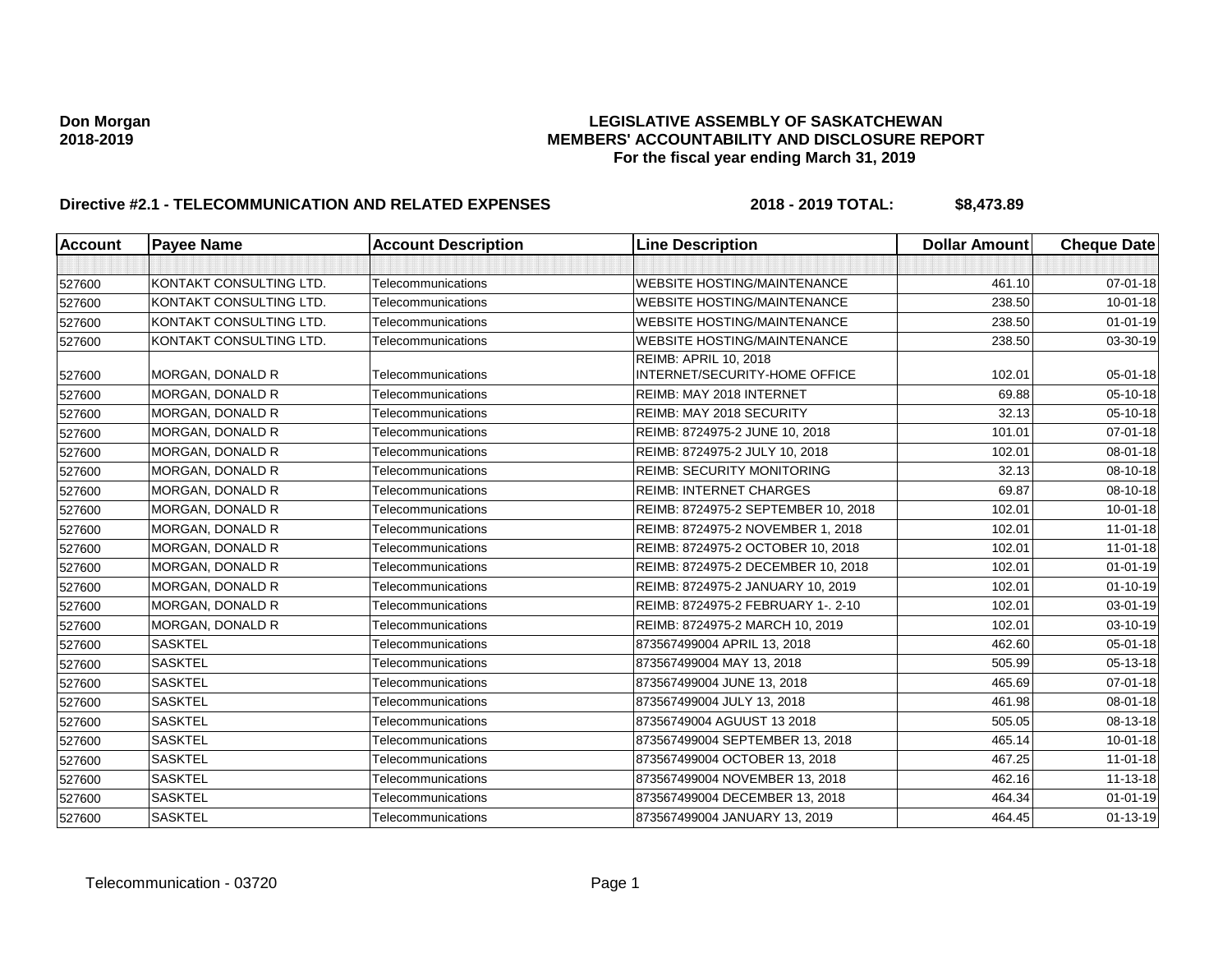| <b>Account</b> | <b>Payee Name</b>       | <b>Account Description</b> | <b>Line Description</b>                                | <b>Dollar Amount</b> | <b>Cheque Date</b> |
|----------------|-------------------------|----------------------------|--------------------------------------------------------|----------------------|--------------------|
|                |                         |                            |                                                        |                      |                    |
| 527600         | KONTAKT CONSULTING LTD. | Telecommunications         | <b>WEBSITE HOSTING/MAINTENANCE</b>                     | 461.10               | 07-01-18           |
| 527600         | KONTAKT CONSULTING LTD. | Telecommunications         | <b>WEBSITE HOSTING/MAINTENANCE</b>                     | 238.50               | $10 - 01 - 18$     |
| 527600         | KONTAKT CONSULTING LTD. | Telecommunications         | <b>WEBSITE HOSTING/MAINTENANCE</b>                     | 238.50               | $01 - 01 - 19$     |
| 527600         | KONTAKT CONSULTING LTD. | Telecommunications         | <b>WEBSITE HOSTING/MAINTENANCE</b>                     | 238.50               | 03-30-19           |
| 527600         | <b>MORGAN, DONALD R</b> | Telecommunications         | REIMB: APRIL 10, 2018<br>INTERNET/SECURITY-HOME OFFICE | 102.01               | 05-01-18           |
| 527600         | <b>MORGAN, DONALD R</b> | Telecommunications         | REIMB: MAY 2018 INTERNET                               | 69.88                | 05-10-18           |
| 527600         | MORGAN, DONALD R        | Telecommunications         | REIMB: MAY 2018 SECURITY                               | 32.13                | 05-10-18           |
| 527600         | MORGAN, DONALD R        | Telecommunications         | REIMB: 8724975-2 JUNE 10, 2018                         | 101.01               | $07 - 01 - 18$     |
| 527600         | MORGAN, DONALD R        | Telecommunications         | REIMB: 8724975-2 JULY 10, 2018                         | 102.01               | 08-01-18           |
| 527600         | MORGAN, DONALD R        | Telecommunications         | <b>REIMB: SECURITY MONITORING</b>                      | 32.13                | 08-10-18           |
| 527600         | MORGAN, DONALD R        | Telecommunications         | <b>REIMB: INTERNET CHARGES</b>                         | 69.87                | 08-10-18           |
| 527600         | <b>MORGAN, DONALD R</b> | Telecommunications         | REIMB: 8724975-2 SEPTEMBER 10, 2018                    | 102.01               | $10 - 01 - 18$     |
| 527600         | MORGAN, DONALD R        | Telecommunications         | REIMB: 8724975-2 NOVEMBER 1, 2018                      | 102.01               | $11 - 01 - 18$     |
| 527600         | <b>MORGAN, DONALD R</b> | Telecommunications         | REIMB: 8724975-2 OCTOBER 10, 2018                      | 102.01               | $11 - 01 - 18$     |
| 527600         | <b>MORGAN, DONALD R</b> | Telecommunications         | REIMB: 8724975-2 DECEMBER 10, 2018                     | 102.01               | $01 - 01 - 19$     |
| 527600         | MORGAN, DONALD R        | Telecommunications         | REIMB: 8724975-2 JANUARY 10, 2019                      | 102.01               | $01 - 10 - 19$     |
| 527600         | MORGAN, DONALD R        | Telecommunications         | REIMB: 8724975-2 FEBRUARY 1-, 2-10                     | 102.01               | 03-01-19           |
| 527600         | MORGAN, DONALD R        | Telecommunications         | REIMB: 8724975-2 MARCH 10, 2019                        | 102.01               | 03-10-19           |
| 527600         | <b>SASKTEL</b>          | Telecommunications         | 873567499004 APRIL 13, 2018                            | 462.60               | 05-01-18           |
| 527600         | <b>SASKTEL</b>          | Telecommunications         | 873567499004 MAY 13, 2018                              | 505.99               | 05-13-18           |
| 527600         | <b>SASKTEL</b>          | Telecommunications         | 873567499004 JUNE 13, 2018                             | 465.69               | $07 - 01 - 18$     |
| 527600         | <b>SASKTEL</b>          | Telecommunications         | 873567499004 JULY 13, 2018                             | 461.98               | 08-01-18           |
| 527600         | <b>SASKTEL</b>          | Telecommunications         | 87356749004 AGUUST 13 2018                             | 505.05               | 08-13-18           |
| 527600         | <b>SASKTEL</b>          | Telecommunications         | 873567499004 SEPTEMBER 13, 2018                        | 465.14               | $10 - 01 - 18$     |
| 527600         | <b>SASKTEL</b>          | Telecommunications         | 873567499004 OCTOBER 13, 2018                          | 467.25               | $11 - 01 - 18$     |
| 527600         | <b>SASKTEL</b>          | Telecommunications         | 873567499004 NOVEMBER 13, 2018                         | 462.16               | 11-13-18           |
| 527600         | <b>SASKTEL</b>          | Telecommunications         | 873567499004 DECEMBER 13, 2018                         | 464.34               | $01 - 01 - 19$     |
| 527600         | <b>SASKTEL</b>          | Telecommunications         | 873567499004 JANUARY 13, 2019                          | 464.45               | $01 - 13 - 19$     |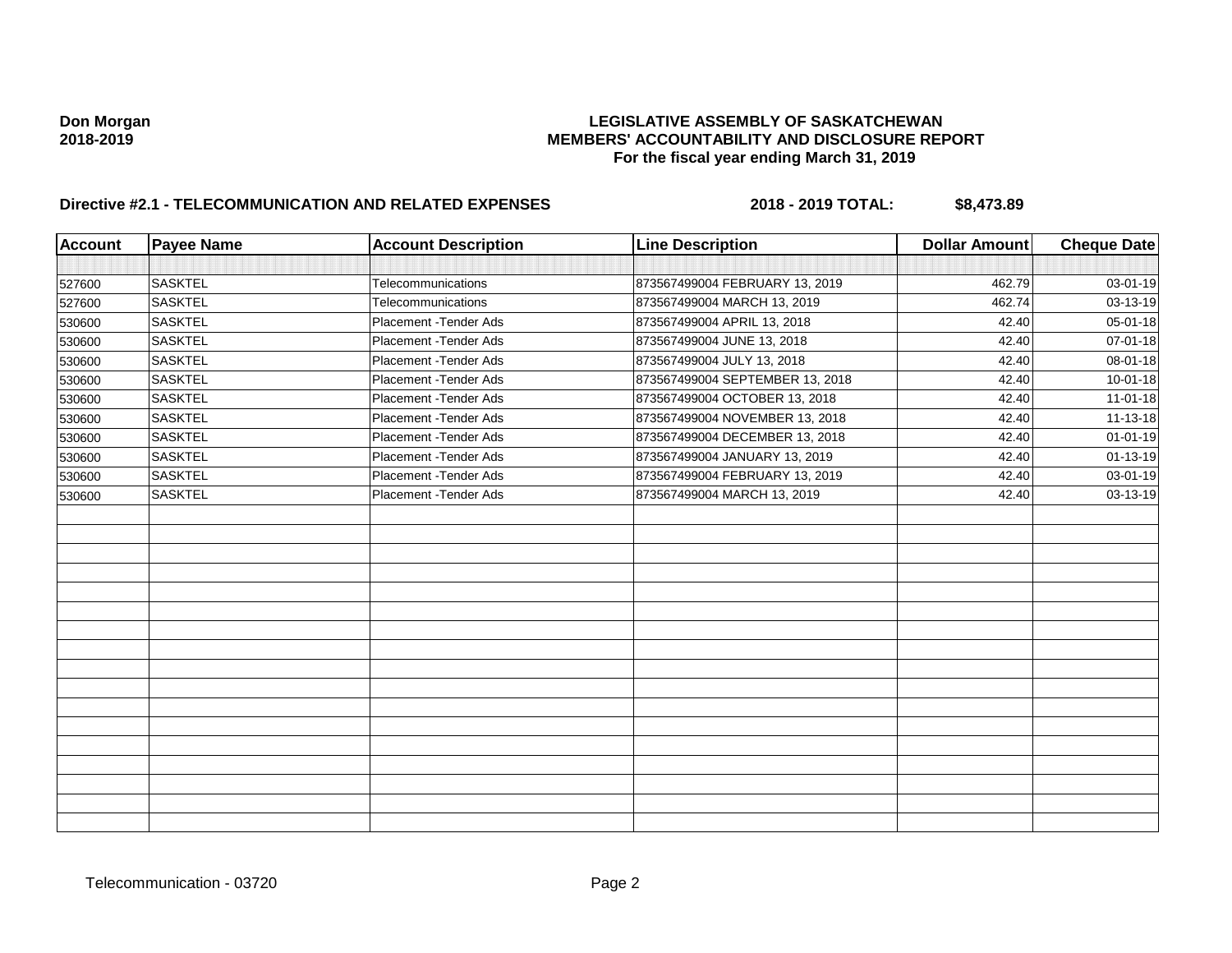| <b>Account</b> | <b>Payee Name</b> | <b>Account Description</b> | <b>Line Description</b>         | <b>Dollar Amount</b> | <b>Cheque Date</b> |
|----------------|-------------------|----------------------------|---------------------------------|----------------------|--------------------|
|                |                   |                            |                                 |                      |                    |
| 527600         | <b>SASKTEL</b>    | Telecommunications         | 873567499004 FEBRUARY 13, 2019  | 462.79               | 03-01-19           |
| 527600         | <b>SASKTEL</b>    | Telecommunications         | 873567499004 MARCH 13, 2019     | 462.74               | 03-13-19           |
| 530600         | <b>SASKTEL</b>    | Placement - Tender Ads     | 873567499004 APRIL 13, 2018     | 42.40                | 05-01-18           |
| 530600         | <b>SASKTEL</b>    | Placement - Tender Ads     | 873567499004 JUNE 13, 2018      | 42.40                | 07-01-18           |
| 530600         | <b>SASKTEL</b>    | Placement - Tender Ads     | 873567499004 JULY 13, 2018      | 42.40                | 08-01-18           |
| 530600         | <b>SASKTEL</b>    | Placement - Tender Ads     | 873567499004 SEPTEMBER 13, 2018 | 42.40                | $10 - 01 - 18$     |
| 530600         | <b>SASKTEL</b>    | Placement - Tender Ads     | 873567499004 OCTOBER 13, 2018   | 42.40                | $11 - 01 - 18$     |
| 530600         | <b>SASKTEL</b>    | Placement - Tender Ads     | 873567499004 NOVEMBER 13, 2018  | 42.40                | 11-13-18           |
| 530600         | <b>SASKTEL</b>    | Placement - Tender Ads     | 873567499004 DECEMBER 13, 2018  | 42.40                | $01 - 01 - 19$     |
| 530600         | <b>SASKTEL</b>    | Placement - Tender Ads     | 873567499004 JANUARY 13, 2019   | 42.40                | $01 - 13 - 19$     |
| 530600         | <b>SASKTEL</b>    | Placement - Tender Ads     | 873567499004 FEBRUARY 13, 2019  | 42.40                | 03-01-19           |
| 530600         | SASKTEL           | Placement - Tender Ads     | 873567499004 MARCH 13, 2019     | 42.40                | 03-13-19           |
|                |                   |                            |                                 |                      |                    |
|                |                   |                            |                                 |                      |                    |
|                |                   |                            |                                 |                      |                    |
|                |                   |                            |                                 |                      |                    |
|                |                   |                            |                                 |                      |                    |
|                |                   |                            |                                 |                      |                    |
|                |                   |                            |                                 |                      |                    |
|                |                   |                            |                                 |                      |                    |
|                |                   |                            |                                 |                      |                    |
|                |                   |                            |                                 |                      |                    |
|                |                   |                            |                                 |                      |                    |
|                |                   |                            |                                 |                      |                    |
|                |                   |                            |                                 |                      |                    |
|                |                   |                            |                                 |                      |                    |
|                |                   |                            |                                 |                      |                    |
|                |                   |                            |                                 |                      |                    |
|                |                   |                            |                                 |                      |                    |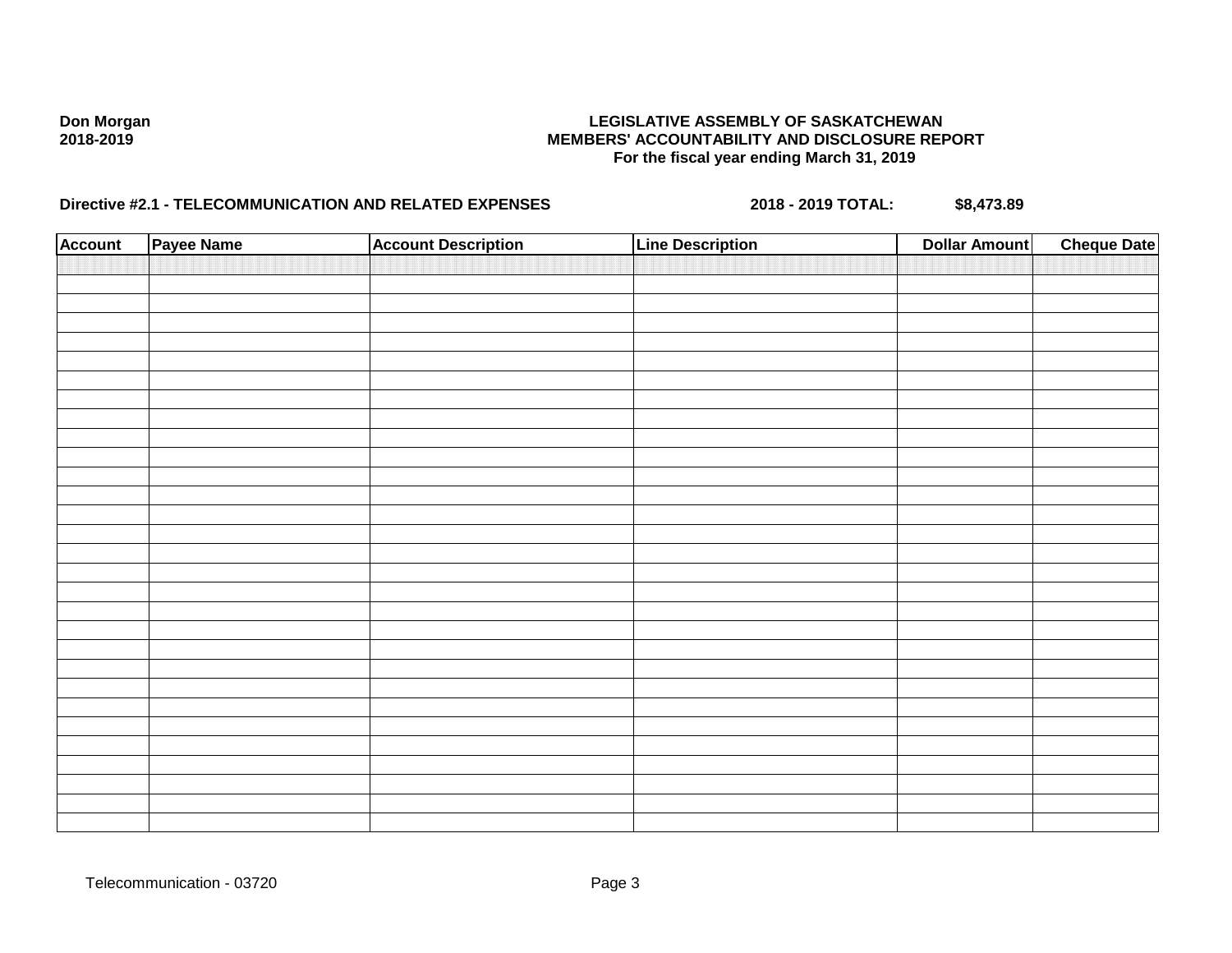| <b>Account</b> | Payee Name | <b>Account Description</b> | <b>Line Description</b> | <b>Dollar Amount</b> | <b>Cheque Date</b> |
|----------------|------------|----------------------------|-------------------------|----------------------|--------------------|
|                |            |                            |                         |                      |                    |
|                |            |                            |                         |                      |                    |
|                |            |                            |                         |                      |                    |
|                |            |                            |                         |                      |                    |
|                |            |                            |                         |                      |                    |
|                |            |                            |                         |                      |                    |
|                |            |                            |                         |                      |                    |
|                |            |                            |                         |                      |                    |
|                |            |                            |                         |                      |                    |
|                |            |                            |                         |                      |                    |
|                |            |                            |                         |                      |                    |
|                |            |                            |                         |                      |                    |
|                |            |                            |                         |                      |                    |
|                |            |                            |                         |                      |                    |
|                |            |                            |                         |                      |                    |
|                |            |                            |                         |                      |                    |
|                |            |                            |                         |                      |                    |
|                |            |                            |                         |                      |                    |
|                |            |                            |                         |                      |                    |
|                |            |                            |                         |                      |                    |
|                |            |                            |                         |                      |                    |
|                |            |                            |                         |                      |                    |
|                |            |                            |                         |                      |                    |
|                |            |                            |                         |                      |                    |
|                |            |                            |                         |                      |                    |
|                |            |                            |                         |                      |                    |
|                |            |                            |                         |                      |                    |
|                |            |                            |                         |                      |                    |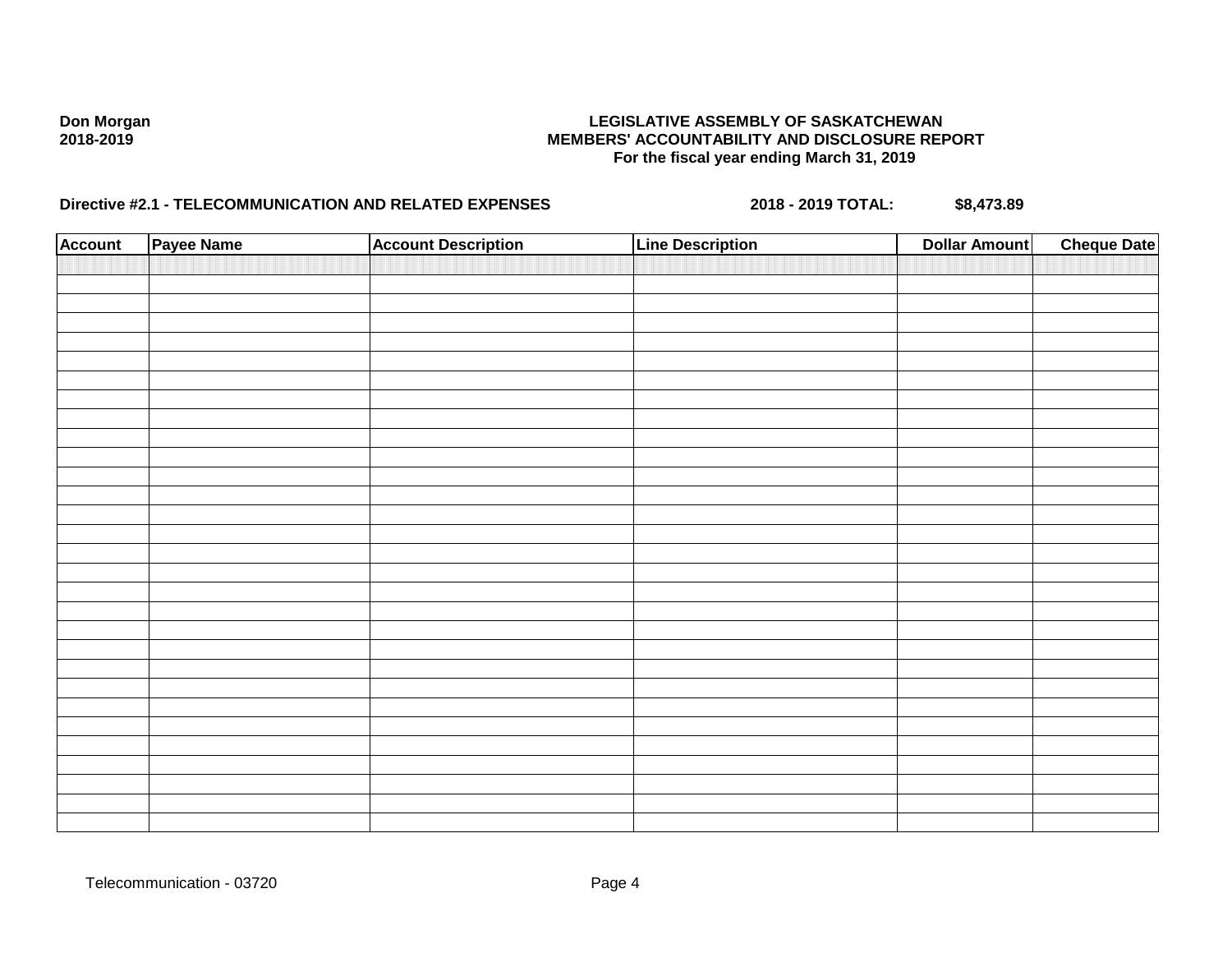| <b>Account</b> | Payee Name | <b>Account Description</b> | <b>Line Description</b> | <b>Dollar Amount</b> | <b>Cheque Date</b> |
|----------------|------------|----------------------------|-------------------------|----------------------|--------------------|
|                |            |                            |                         |                      |                    |
|                |            |                            |                         |                      |                    |
|                |            |                            |                         |                      |                    |
|                |            |                            |                         |                      |                    |
|                |            |                            |                         |                      |                    |
|                |            |                            |                         |                      |                    |
|                |            |                            |                         |                      |                    |
|                |            |                            |                         |                      |                    |
|                |            |                            |                         |                      |                    |
|                |            |                            |                         |                      |                    |
|                |            |                            |                         |                      |                    |
|                |            |                            |                         |                      |                    |
|                |            |                            |                         |                      |                    |
|                |            |                            |                         |                      |                    |
|                |            |                            |                         |                      |                    |
|                |            |                            |                         |                      |                    |
|                |            |                            |                         |                      |                    |
|                |            |                            |                         |                      |                    |
|                |            |                            |                         |                      |                    |
|                |            |                            |                         |                      |                    |
|                |            |                            |                         |                      |                    |
|                |            |                            |                         |                      |                    |
|                |            |                            |                         |                      |                    |
|                |            |                            |                         |                      |                    |
|                |            |                            |                         |                      |                    |
|                |            |                            |                         |                      |                    |
|                |            |                            |                         |                      |                    |
|                |            |                            |                         |                      |                    |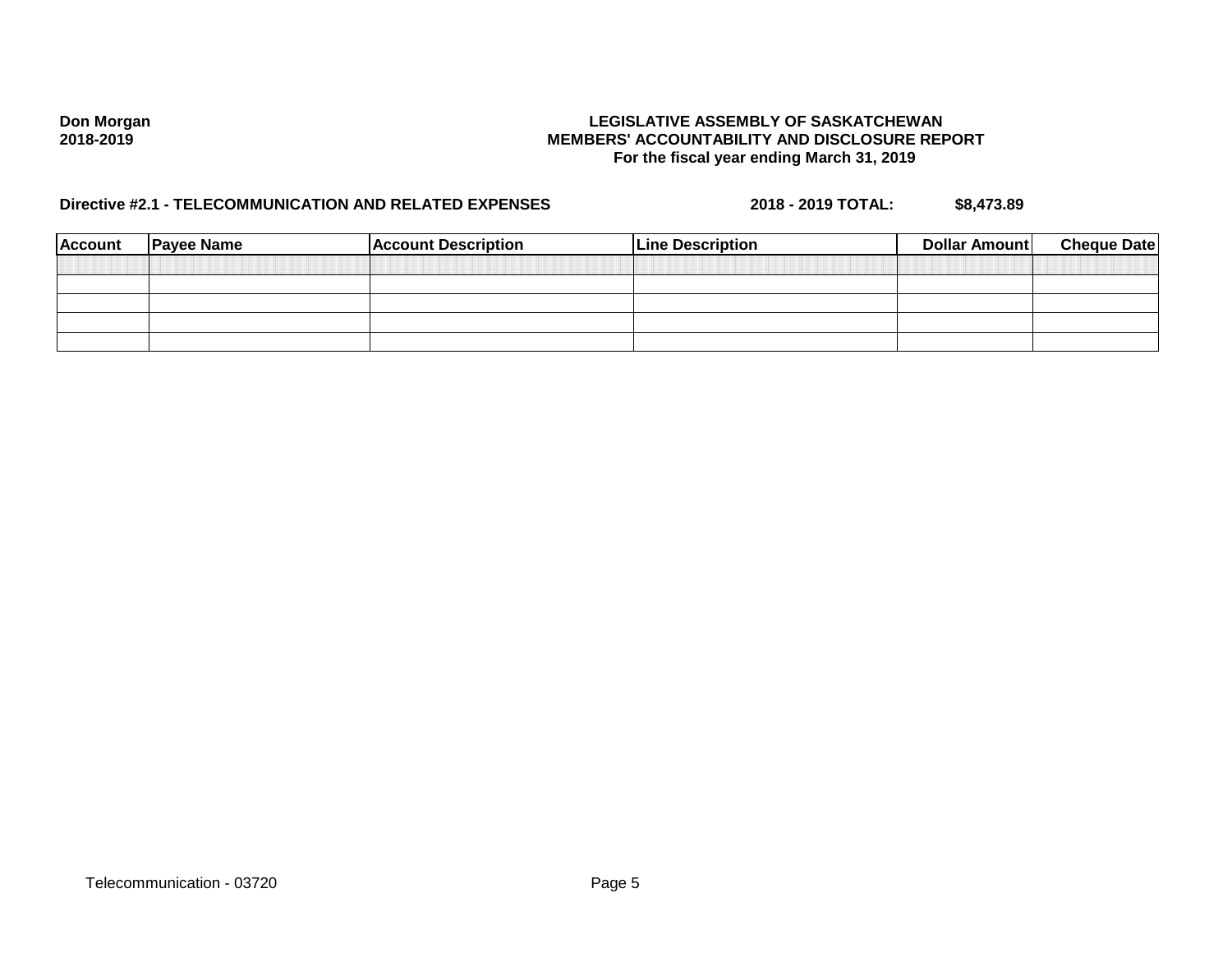| <b>Account</b> | <b>Payee Name</b> | <b>Account Description</b> | <b>Line Description</b> | Dollar Amount | <b>Cheque Date</b> |
|----------------|-------------------|----------------------------|-------------------------|---------------|--------------------|
|                |                   |                            |                         |               |                    |
|                |                   |                            |                         |               |                    |
|                |                   |                            |                         |               |                    |
|                |                   |                            |                         |               |                    |
|                |                   |                            |                         |               |                    |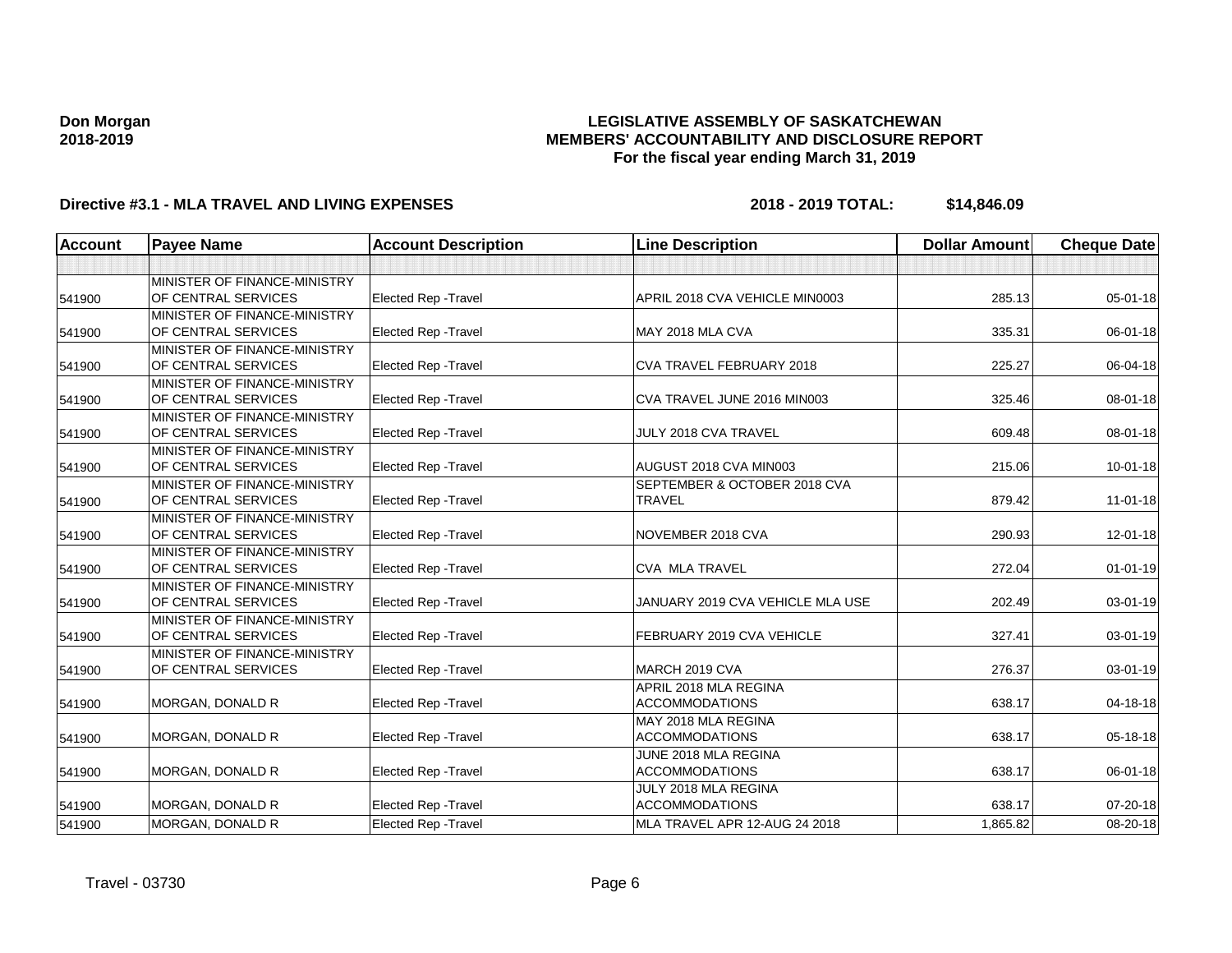### **LEGISLATIVE ASSEMBLY OF SASKATCHEWAN MEMBERS' ACCOUNTABILITY AND DISCLOSURE REPORT For the fiscal year ending March 31, 2019**

| <b>Account</b> | <b>Payee Name</b>            | <b>Account Description</b>  | <b>Line Description</b>          | <b>Dollar Amount</b> | <b>Cheque Date</b> |
|----------------|------------------------------|-----------------------------|----------------------------------|----------------------|--------------------|
|                |                              |                             |                                  |                      |                    |
|                | MINISTER OF FINANCE-MINISTRY |                             |                                  |                      |                    |
| 541900         | OF CENTRAL SERVICES          | <b>Elected Rep - Travel</b> | APRIL 2018 CVA VEHICLE MIN0003   | 285.13               | 05-01-18           |
|                | MINISTER OF FINANCE-MINISTRY |                             |                                  |                      |                    |
| 541900         | OF CENTRAL SERVICES          | Elected Rep - Travel        | MAY 2018 MLA CVA                 | 335.31               | 06-01-18           |
|                | MINISTER OF FINANCE-MINISTRY |                             |                                  |                      |                    |
| 541900         | OF CENTRAL SERVICES          | <b>Elected Rep - Travel</b> | <b>CVA TRAVEL FEBRUARY 2018</b>  | 225.27               | 06-04-18           |
|                | MINISTER OF FINANCE-MINISTRY |                             |                                  |                      |                    |
| 541900         | OF CENTRAL SERVICES          | Elected Rep - Travel        | CVA TRAVEL JUNE 2016 MIN003      | 325.46               | 08-01-18           |
|                | MINISTER OF FINANCE-MINISTRY |                             |                                  |                      |                    |
| 541900         | OF CENTRAL SERVICES          | <b>Elected Rep - Travel</b> | JULY 2018 CVA TRAVEL             | 609.48               | 08-01-18           |
|                | MINISTER OF FINANCE-MINISTRY |                             |                                  |                      |                    |
| 541900         | OF CENTRAL SERVICES          | <b>Elected Rep - Travel</b> | AUGUST 2018 CVA MIN003           | 215.06               | $10 - 01 - 18$     |
|                | MINISTER OF FINANCE-MINISTRY |                             | SEPTEMBER & OCTOBER 2018 CVA     |                      |                    |
| 541900         | OF CENTRAL SERVICES          | Elected Rep - Travel        | <b>TRAVEL</b>                    | 879.42               | $11 - 01 - 18$     |
|                | MINISTER OF FINANCE-MINISTRY |                             |                                  |                      |                    |
| 541900         | OF CENTRAL SERVICES          | <b>Elected Rep - Travel</b> | NOVEMBER 2018 CVA                | 290.93               | $12 - 01 - 18$     |
|                | MINISTER OF FINANCE-MINISTRY |                             |                                  |                      |                    |
| 541900         | OF CENTRAL SERVICES          | <b>Elected Rep - Travel</b> | <b>CVA MLA TRAVEL</b>            | 272.04               | $01 - 01 - 19$     |
|                | MINISTER OF FINANCE-MINISTRY |                             |                                  |                      |                    |
| 541900         | OF CENTRAL SERVICES          | Elected Rep - Travel        | JANUARY 2019 CVA VEHICLE MLA USE | 202.49               | 03-01-19           |
|                | MINISTER OF FINANCE-MINISTRY |                             |                                  |                      |                    |
| 541900         | OF CENTRAL SERVICES          | <b>Elected Rep - Travel</b> | FEBRUARY 2019 CVA VEHICLE        | 327.41               | 03-01-19           |
|                | MINISTER OF FINANCE-MINISTRY |                             |                                  |                      |                    |
| 541900         | OF CENTRAL SERVICES          | Elected Rep - Travel        | MARCH 2019 CVA                   | 276.37               | 03-01-19           |
|                |                              |                             | APRIL 2018 MLA REGINA            |                      |                    |
| 541900         | MORGAN, DONALD R             | Elected Rep - Travel        | <b>ACCOMMODATIONS</b>            | 638.17               | 04-18-18           |
|                |                              |                             | MAY 2018 MLA REGINA              |                      |                    |
| 541900         | MORGAN, DONALD R             | Elected Rep - Travel        | <b>ACCOMMODATIONS</b>            | 638.17               | 05-18-18           |
|                |                              |                             | JUNE 2018 MLA REGINA             |                      |                    |
| 541900         | <b>MORGAN, DONALD R</b>      | Elected Rep - Travel        | <b>ACCOMMODATIONS</b>            | 638.17               | 06-01-18           |
|                |                              |                             | JULY 2018 MLA REGINA             |                      |                    |
| 541900         | MORGAN, DONALD R             | Elected Rep - Travel        | <b>ACCOMMODATIONS</b>            | 638.17               | 07-20-18           |
| 541900         | MORGAN, DONALD R             | <b>Elected Rep - Travel</b> | MLA TRAVEL APR 12-AUG 24 2018    | 1,865.82             | 08-20-18           |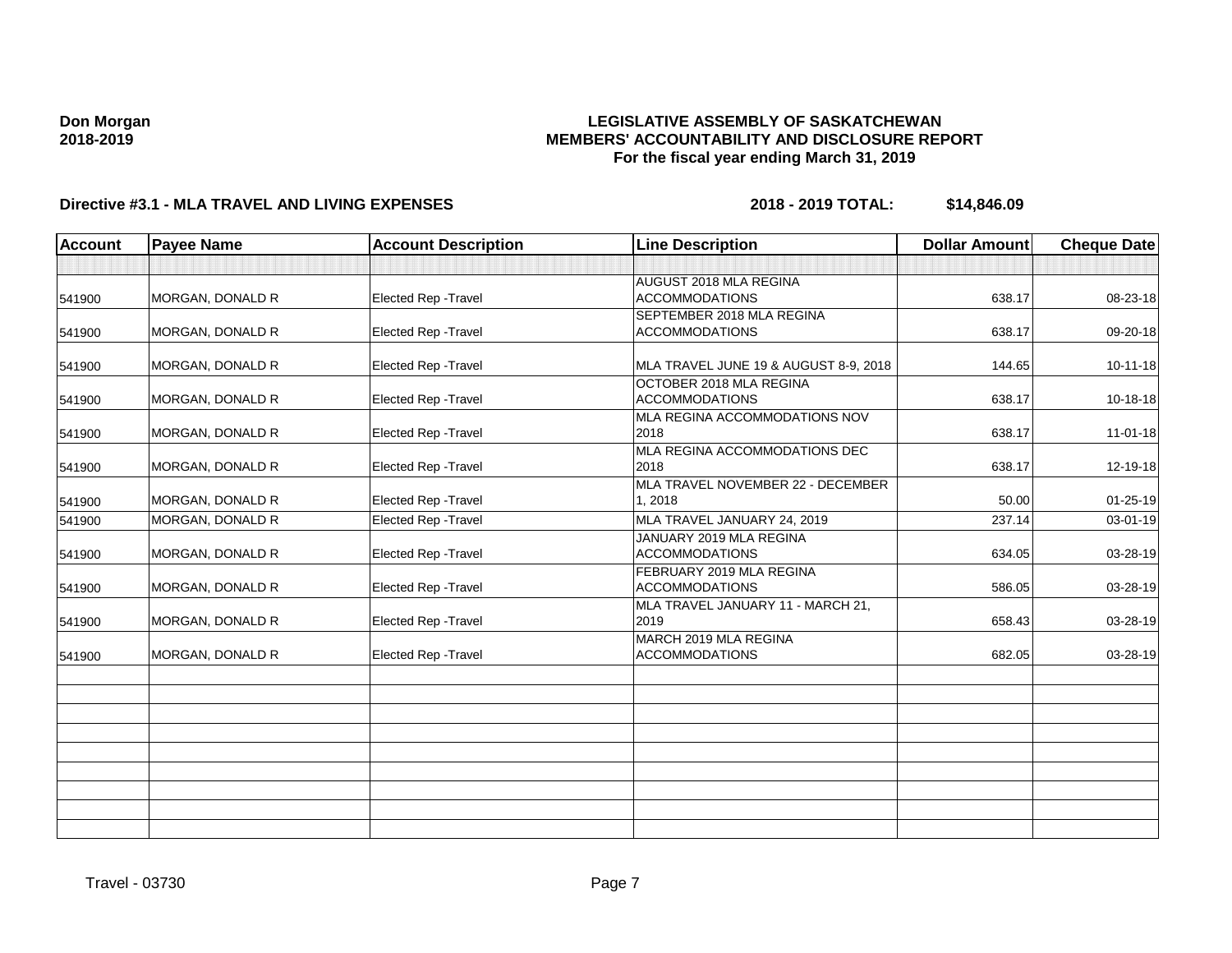### **LEGISLATIVE ASSEMBLY OF SASKATCHEWAN MEMBERS' ACCOUNTABILITY AND DISCLOSURE REPORT For the fiscal year ending March 31, 2019**

| <b>Account</b> | <b>Payee Name</b>       | <b>Account Description</b>  | <b>Line Description</b>                            | <b>Dollar Amount</b> | <b>Cheque Date</b> |
|----------------|-------------------------|-----------------------------|----------------------------------------------------|----------------------|--------------------|
|                |                         |                             |                                                    |                      |                    |
| 541900         | MORGAN, DONALD R        | Elected Rep - Travel        | AUGUST 2018 MLA REGINA<br><b>ACCOMMODATIONS</b>    | 638.17               | 08-23-18           |
| 541900         | <b>MORGAN, DONALD R</b> | Elected Rep - Travel        | SEPTEMBER 2018 MLA REGINA<br><b>ACCOMMODATIONS</b> | 638.17               | 09-20-18           |
| 541900         | MORGAN, DONALD R        | Elected Rep - Travel        | MLA TRAVEL JUNE 19 & AUGUST 8-9, 2018              | 144.65               | $10 - 11 - 18$     |
| 541900         | MORGAN, DONALD R        | <b>Elected Rep - Travel</b> | OCTOBER 2018 MLA REGINA<br><b>ACCOMMODATIONS</b>   | 638.17               | 10-18-18           |
| 541900         | MORGAN, DONALD R        | Elected Rep - Travel        | MLA REGINA ACCOMMODATIONS NOV<br>2018              | 638.17               | $11-01-18$         |
| 541900         | MORGAN, DONALD R        | Elected Rep - Travel        | MLA REGINA ACCOMMODATIONS DEC<br>2018              | 638.17               | 12-19-18           |
| 541900         | <b>MORGAN, DONALD R</b> | Elected Rep - Travel        | MLA TRAVEL NOVEMBER 22 - DECEMBER<br>1.2018        | 50.00                | $01 - 25 - 19$     |
| 541900         | MORGAN, DONALD R        | Elected Rep - Travel        | MLA TRAVEL JANUARY 24, 2019                        | 237.14               | 03-01-19           |
| 541900         | MORGAN, DONALD R        | Elected Rep - Travel        | JANUARY 2019 MLA REGINA<br><b>ACCOMMODATIONS</b>   | 634.05               | 03-28-19           |
| 541900         | MORGAN, DONALD R        | Elected Rep - Travel        | FEBRUARY 2019 MLA REGINA<br><b>ACCOMMODATIONS</b>  | 586.05               | 03-28-19           |
| 541900         | MORGAN, DONALD R        | Elected Rep - Travel        | MLA TRAVEL JANUARY 11 - MARCH 21,<br>2019          | 658.43               | 03-28-19           |
| 541900         | <b>MORGAN, DONALD R</b> | Elected Rep - Travel        | MARCH 2019 MLA REGINA<br><b>ACCOMMODATIONS</b>     | 682.05               | 03-28-19           |
|                |                         |                             |                                                    |                      |                    |
|                |                         |                             |                                                    |                      |                    |
|                |                         |                             |                                                    |                      |                    |
|                |                         |                             |                                                    |                      |                    |
|                |                         |                             |                                                    |                      |                    |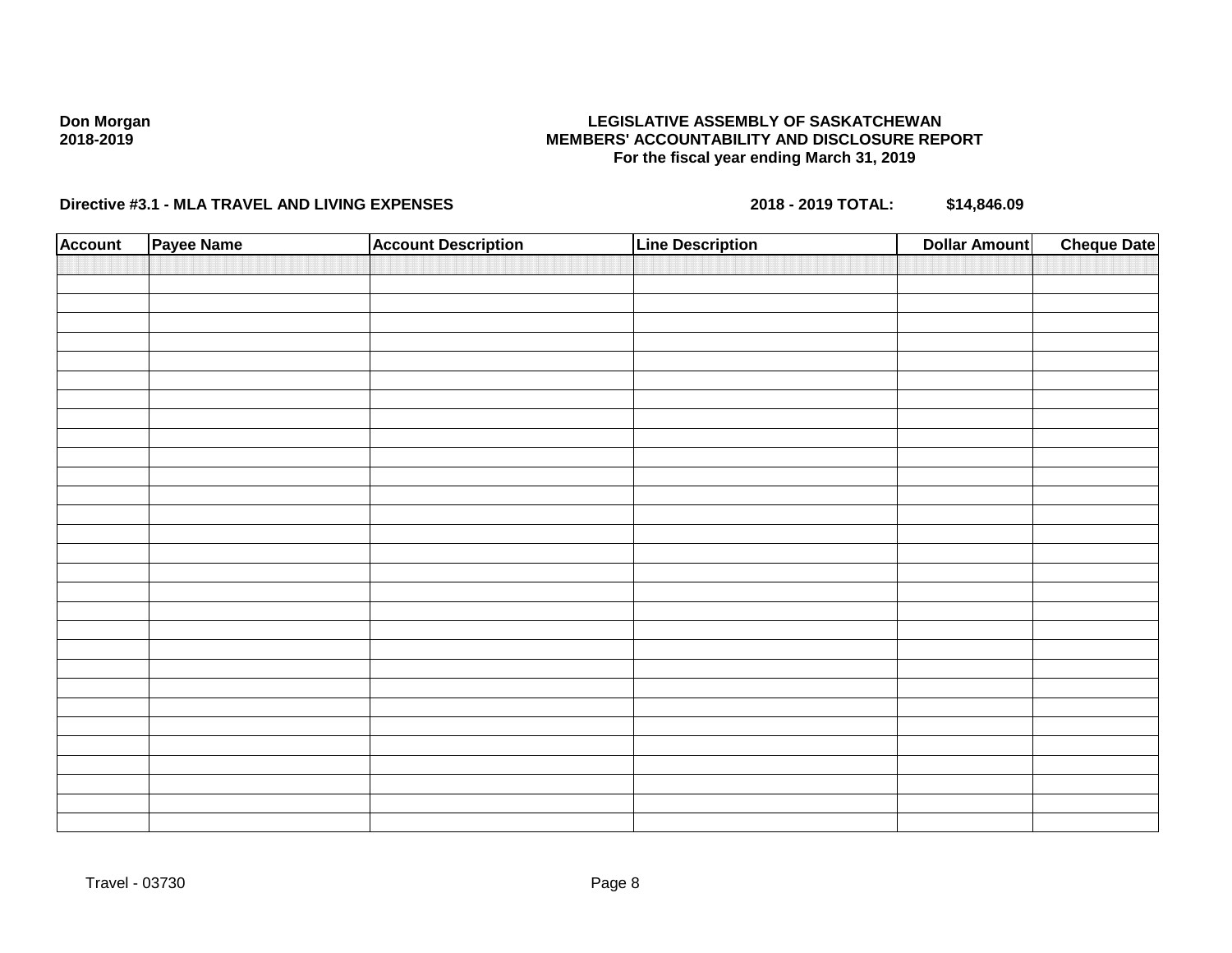### **LEGISLATIVE ASSEMBLY OF SASKATCHEWAN MEMBERS' ACCOUNTABILITY AND DISCLOSURE REPORT For the fiscal year ending March 31, 2019**

| <b>Account</b> | Payee Name | <b>Account Description</b> | <b>Line Description</b> | <b>Dollar Amount</b> | <b>Cheque Date</b> |
|----------------|------------|----------------------------|-------------------------|----------------------|--------------------|
|                |            |                            |                         |                      |                    |
|                |            |                            |                         |                      |                    |
|                |            |                            |                         |                      |                    |
|                |            |                            |                         |                      |                    |
|                |            |                            |                         |                      |                    |
|                |            |                            |                         |                      |                    |
|                |            |                            |                         |                      |                    |
|                |            |                            |                         |                      |                    |
|                |            |                            |                         |                      |                    |
|                |            |                            |                         |                      |                    |
|                |            |                            |                         |                      |                    |
|                |            |                            |                         |                      |                    |
|                |            |                            |                         |                      |                    |
|                |            |                            |                         |                      |                    |
|                |            |                            |                         |                      |                    |
|                |            |                            |                         |                      |                    |
|                |            |                            |                         |                      |                    |
|                |            |                            |                         |                      |                    |
|                |            |                            |                         |                      |                    |
|                |            |                            |                         |                      |                    |
|                |            |                            |                         |                      |                    |
|                |            |                            |                         |                      |                    |
|                |            |                            |                         |                      |                    |
|                |            |                            |                         |                      |                    |
|                |            |                            |                         |                      |                    |
|                |            |                            |                         |                      |                    |
|                |            |                            |                         |                      |                    |
|                |            |                            |                         |                      |                    |
|                |            |                            |                         |                      |                    |
|                |            |                            |                         |                      |                    |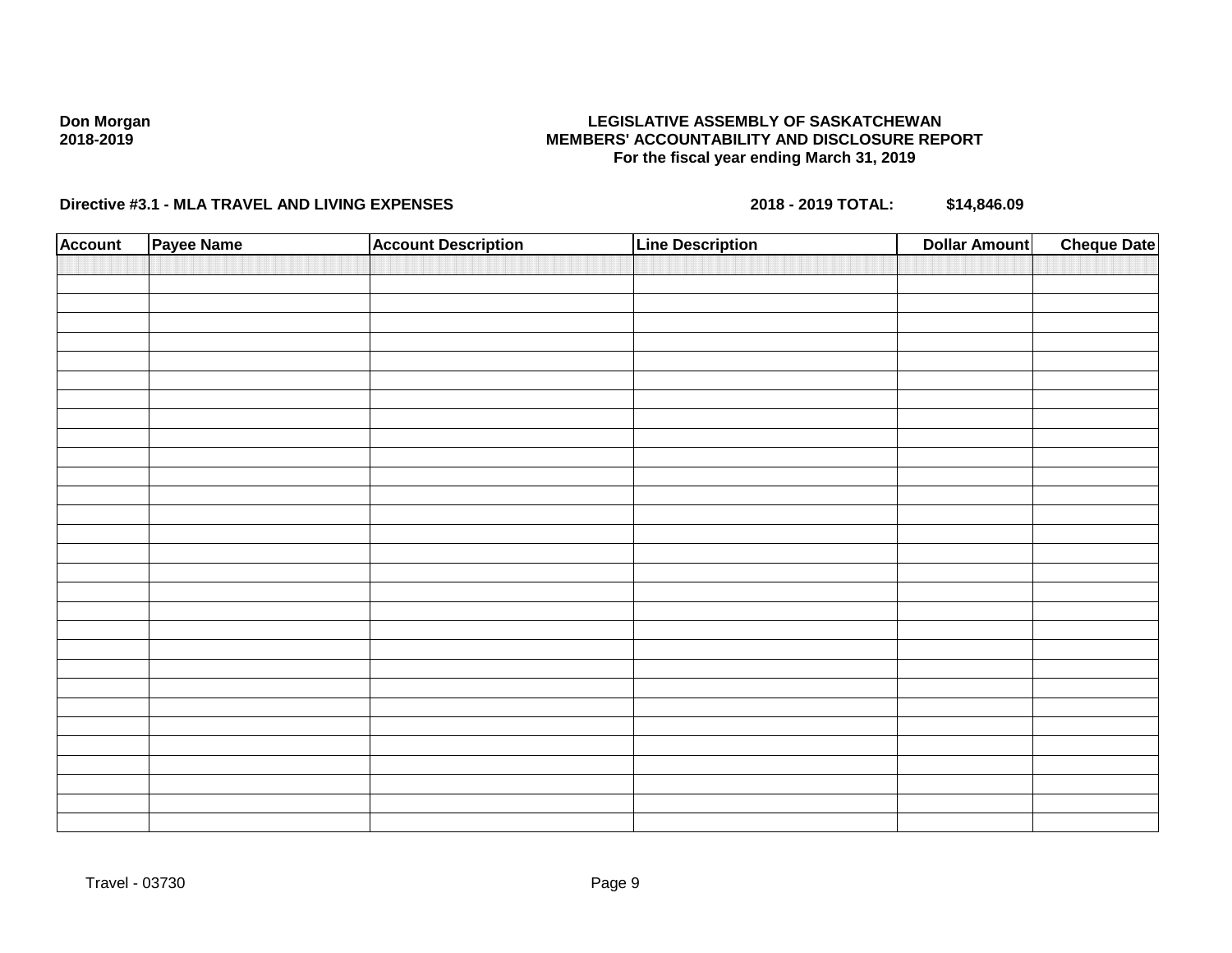### **LEGISLATIVE ASSEMBLY OF SASKATCHEWAN MEMBERS' ACCOUNTABILITY AND DISCLOSURE REPORT For the fiscal year ending March 31, 2019**

| <b>Account</b> | Payee Name | <b>Account Description</b> | <b>Line Description</b> | <b>Dollar Amount</b> | <b>Cheque Date</b> |
|----------------|------------|----------------------------|-------------------------|----------------------|--------------------|
|                |            |                            |                         |                      |                    |
|                |            |                            |                         |                      |                    |
|                |            |                            |                         |                      |                    |
|                |            |                            |                         |                      |                    |
|                |            |                            |                         |                      |                    |
|                |            |                            |                         |                      |                    |
|                |            |                            |                         |                      |                    |
|                |            |                            |                         |                      |                    |
|                |            |                            |                         |                      |                    |
|                |            |                            |                         |                      |                    |
|                |            |                            |                         |                      |                    |
|                |            |                            |                         |                      |                    |
|                |            |                            |                         |                      |                    |
|                |            |                            |                         |                      |                    |
|                |            |                            |                         |                      |                    |
|                |            |                            |                         |                      |                    |
|                |            |                            |                         |                      |                    |
|                |            |                            |                         |                      |                    |
|                |            |                            |                         |                      |                    |
|                |            |                            |                         |                      |                    |
|                |            |                            |                         |                      |                    |
|                |            |                            |                         |                      |                    |
|                |            |                            |                         |                      |                    |
|                |            |                            |                         |                      |                    |
|                |            |                            |                         |                      |                    |
|                |            |                            |                         |                      |                    |
|                |            |                            |                         |                      |                    |
|                |            |                            |                         |                      |                    |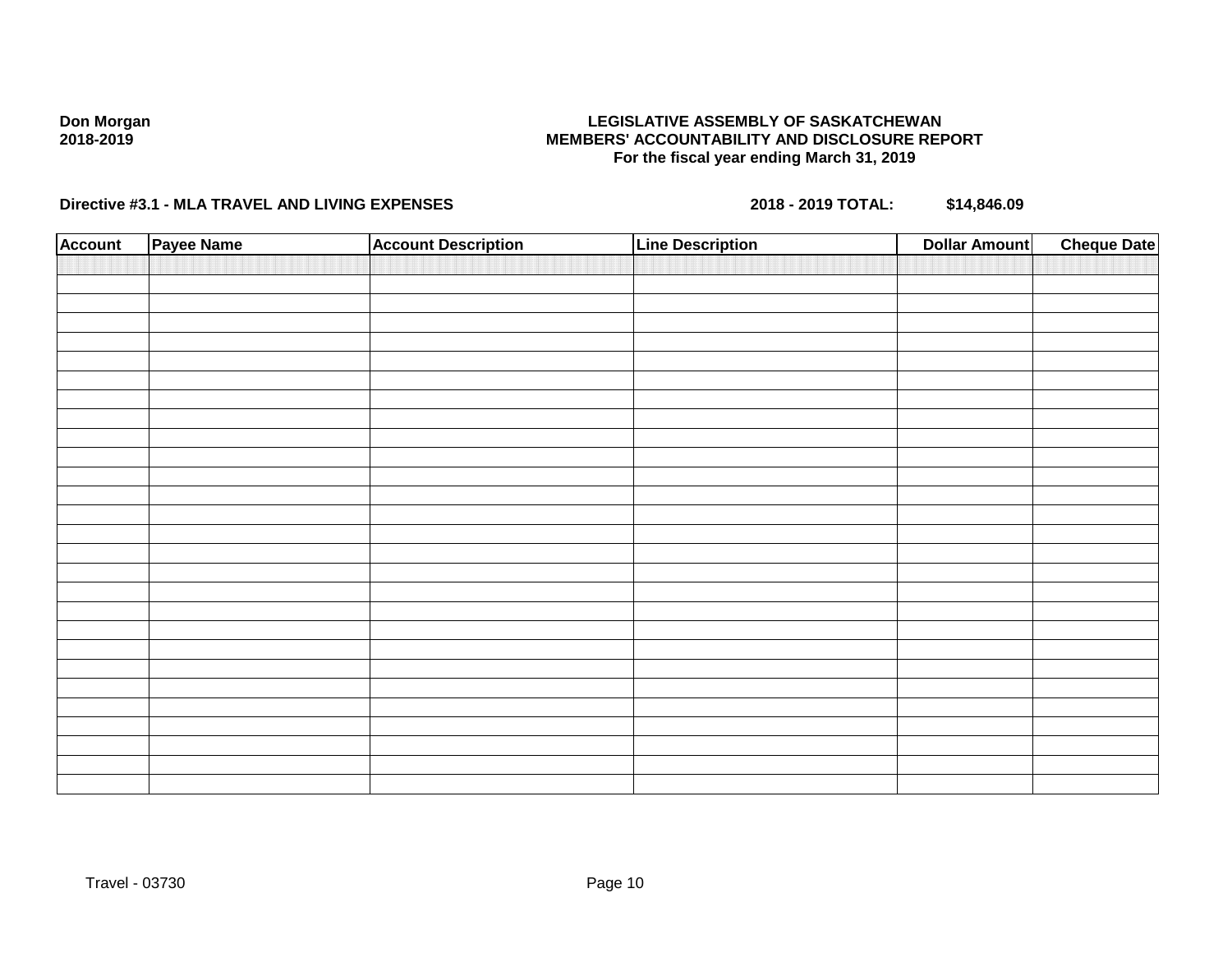### **LEGISLATIVE ASSEMBLY OF SASKATCHEWAN MEMBERS' ACCOUNTABILITY AND DISCLOSURE REPORT For the fiscal year ending March 31, 2019**

| <b>Account</b> | Payee Name | <b>Account Description</b> | <b>Line Description</b> | <b>Dollar Amount</b> | <b>Cheque Date</b> |
|----------------|------------|----------------------------|-------------------------|----------------------|--------------------|
|                |            |                            |                         |                      |                    |
|                |            |                            |                         |                      |                    |
|                |            |                            |                         |                      |                    |
|                |            |                            |                         |                      |                    |
|                |            |                            |                         |                      |                    |
|                |            |                            |                         |                      |                    |
|                |            |                            |                         |                      |                    |
|                |            |                            |                         |                      |                    |
|                |            |                            |                         |                      |                    |
|                |            |                            |                         |                      |                    |
|                |            |                            |                         |                      |                    |
|                |            |                            |                         |                      |                    |
|                |            |                            |                         |                      |                    |
|                |            |                            |                         |                      |                    |
|                |            |                            |                         |                      |                    |
|                |            |                            |                         |                      |                    |
|                |            |                            |                         |                      |                    |
|                |            |                            |                         |                      |                    |
|                |            |                            |                         |                      |                    |
|                |            |                            |                         |                      |                    |
|                |            |                            |                         |                      |                    |
|                |            |                            |                         |                      |                    |
|                |            |                            |                         |                      |                    |
|                |            |                            |                         |                      |                    |
|                |            |                            |                         |                      |                    |
|                |            |                            |                         |                      |                    |
|                |            |                            |                         |                      |                    |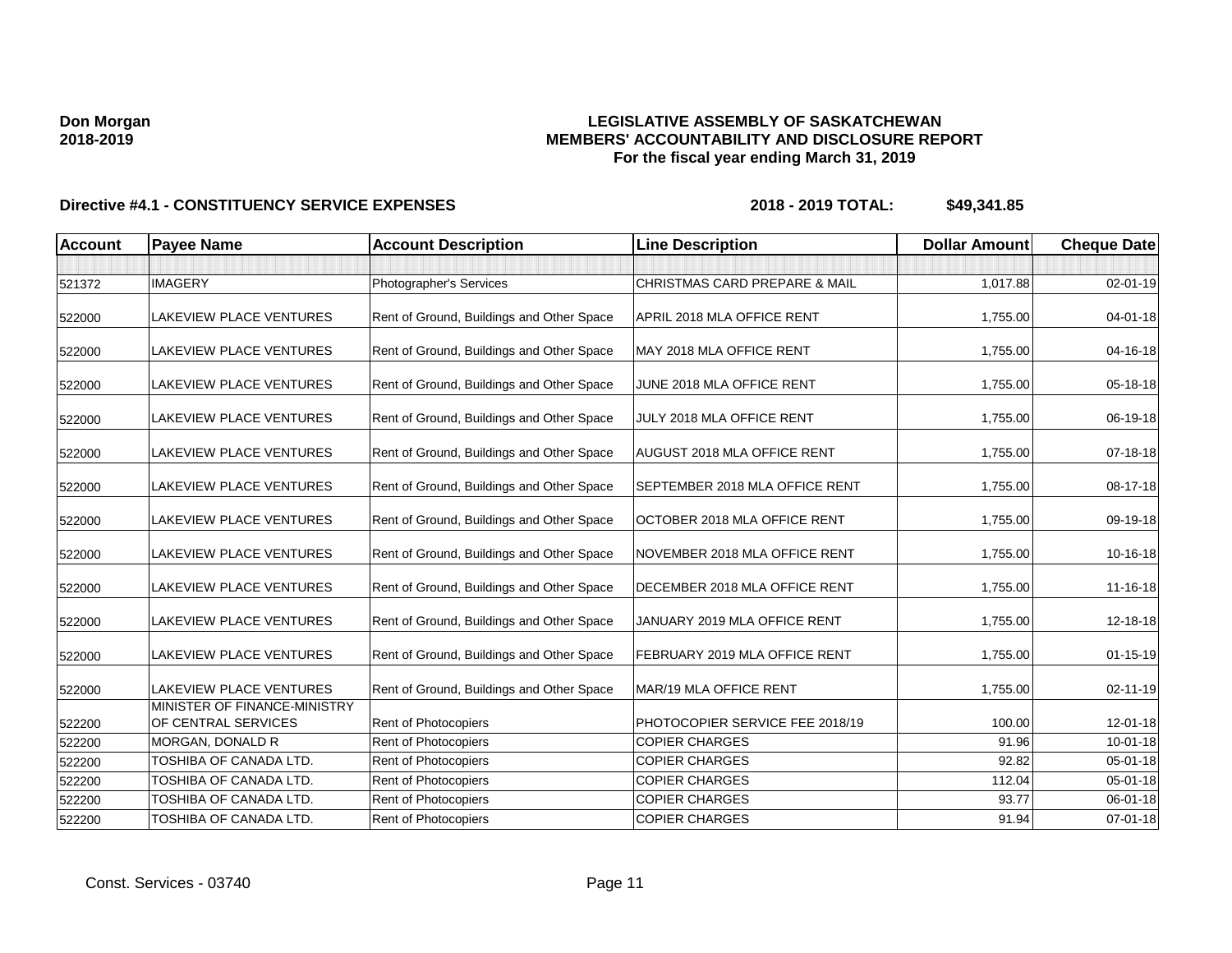### **LEGISLATIVE ASSEMBLY OF SASKATCHEWAN MEMBERS' ACCOUNTABILITY AND DISCLOSURE REPORT For the fiscal year ending March 31, 2019**

| <b>Account</b> | <b>Payee Name</b>                                   | <b>Account Description</b>                | <b>Line Description</b>         | <b>Dollar Amount</b> | <b>Cheque Date</b> |
|----------------|-----------------------------------------------------|-------------------------------------------|---------------------------------|----------------------|--------------------|
|                |                                                     |                                           |                                 |                      |                    |
| 521372         | <b>IMAGERY</b>                                      | Photographer's Services                   | CHRISTMAS CARD PREPARE & MAIL   | 1,017.88             | 02-01-19           |
| 522000         | <b>LAKEVIEW PLACE VENTURES</b>                      | Rent of Ground, Buildings and Other Space | APRIL 2018 MLA OFFICE RENT      | 1,755.00             | $04 - 01 - 18$     |
| 522000         | <b>LAKEVIEW PLACE VENTURES</b>                      | Rent of Ground, Buildings and Other Space | MAY 2018 MLA OFFICE RENT        | 1,755.00             | 04-16-18           |
| 522000         | LAKEVIEW PLACE VENTURES                             | Rent of Ground, Buildings and Other Space | JUNE 2018 MLA OFFICE RENT       | 1,755.00             | 05-18-18           |
| 522000         | <b>LAKEVIEW PLACE VENTURES</b>                      | Rent of Ground, Buildings and Other Space | JULY 2018 MLA OFFICE RENT       | 1,755.00             | 06-19-18           |
| 522000         | LAKEVIEW PLACE VENTURES                             | Rent of Ground, Buildings and Other Space | AUGUST 2018 MLA OFFICE RENT     | 1,755.00             | $07 - 18 - 18$     |
| 522000         | <b>LAKEVIEW PLACE VENTURES</b>                      | Rent of Ground, Buildings and Other Space | SEPTEMBER 2018 MLA OFFICE RENT  | 1,755.00             | 08-17-18           |
| 522000         | <b>LAKEVIEW PLACE VENTURES</b>                      | Rent of Ground, Buildings and Other Space | OCTOBER 2018 MLA OFFICE RENT    | 1,755.00             | 09-19-18           |
| 522000         | <b>LAKEVIEW PLACE VENTURES</b>                      | Rent of Ground, Buildings and Other Space | NOVEMBER 2018 MLA OFFICE RENT   | 1,755.00             | 10-16-18           |
| 522000         | <b>LAKEVIEW PLACE VENTURES</b>                      | Rent of Ground, Buildings and Other Space | DECEMBER 2018 MLA OFFICE RENT   | 1,755.00             | 11-16-18           |
| 522000         | <b>LAKEVIEW PLACE VENTURES</b>                      | Rent of Ground, Buildings and Other Space | JANUARY 2019 MLA OFFICE RENT    | 1,755.00             | 12-18-18           |
| 522000         | <b>LAKEVIEW PLACE VENTURES</b>                      | Rent of Ground, Buildings and Other Space | FEBRUARY 2019 MLA OFFICE RENT   | 1,755.00             | $01 - 15 - 19$     |
| 522000         | <b>LAKEVIEW PLACE VENTURES</b>                      | Rent of Ground, Buildings and Other Space | MAR/19 MLA OFFICE RENT          | 1,755.00             | $02 - 11 - 19$     |
| 522200         | MINISTER OF FINANCE-MINISTRY<br>OF CENTRAL SERVICES | <b>Rent of Photocopiers</b>               | PHOTOCOPIER SERVICE FEE 2018/19 | 100.00               | 12-01-18           |
| 522200         | <b>MORGAN, DONALD R</b>                             | Rent of Photocopiers                      | <b>COPIER CHARGES</b>           | 91.96                | $10 - 01 - 18$     |
| 522200         | TOSHIBA OF CANADA LTD.                              | <b>Rent of Photocopiers</b>               | <b>COPIER CHARGES</b>           | 92.82                | 05-01-18           |
| 522200         | TOSHIBA OF CANADA LTD.                              | Rent of Photocopiers                      | <b>COPIER CHARGES</b>           | 112.04               | 05-01-18           |
| 522200         | TOSHIBA OF CANADA LTD.                              | Rent of Photocopiers                      | <b>COPIER CHARGES</b>           | 93.77                | 06-01-18           |
| 522200         | TOSHIBA OF CANADA LTD.                              | Rent of Photocopiers                      | <b>COPIER CHARGES</b>           | 91.94                | 07-01-18           |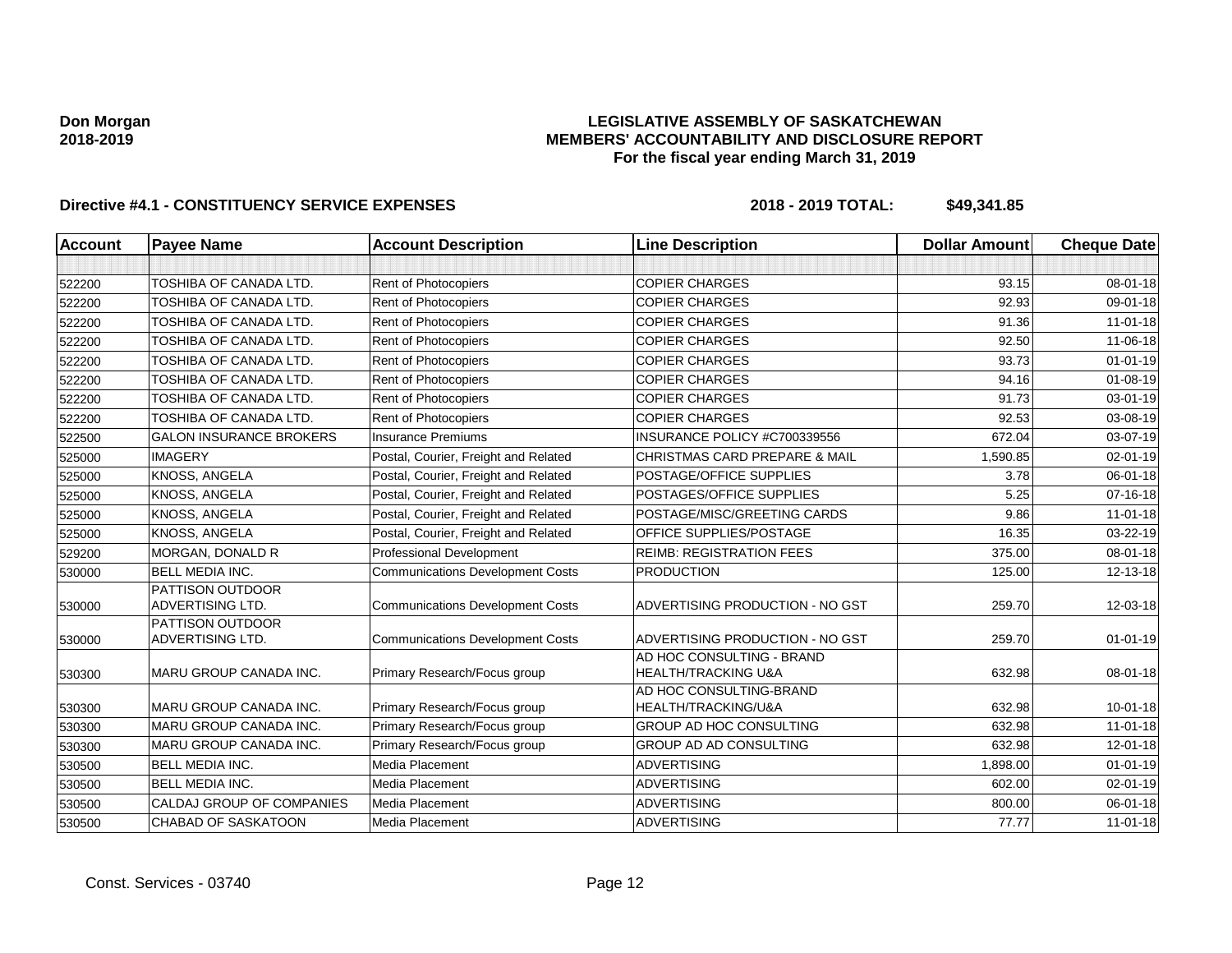### **LEGISLATIVE ASSEMBLY OF SASKATCHEWAN MEMBERS' ACCOUNTABILITY AND DISCLOSURE REPORT For the fiscal year ending March 31, 2019**

| Account | <b>Payee Name</b>                                  | <b>Account Description</b>              | <b>Line Description</b>                                     | <b>Dollar Amount</b> | <b>Cheque Date</b> |
|---------|----------------------------------------------------|-----------------------------------------|-------------------------------------------------------------|----------------------|--------------------|
|         |                                                    |                                         |                                                             |                      |                    |
| 522200  | <b>TOSHIBA OF CANADA LTD.</b>                      | Rent of Photocopiers                    | <b>COPIER CHARGES</b>                                       | 93.15                | $08 - 01 - 18$     |
| 522200  | TOSHIBA OF CANADA LTD.                             | Rent of Photocopiers                    | <b>COPIER CHARGES</b>                                       | 92.93                | 09-01-18           |
| 522200  | TOSHIBA OF CANADA LTD.                             | Rent of Photocopiers                    | <b>COPIER CHARGES</b>                                       | 91.36                | $11-01-18$         |
| 522200  | TOSHIBA OF CANADA LTD.                             | Rent of Photocopiers                    | <b>COPIER CHARGES</b>                                       | 92.50                | 11-06-18           |
| 522200  | TOSHIBA OF CANADA LTD.                             | Rent of Photocopiers                    | <b>COPIER CHARGES</b>                                       | 93.73                | $01 - 01 - 19$     |
| 522200  | TOSHIBA OF CANADA LTD.                             | Rent of Photocopiers                    | <b>COPIER CHARGES</b>                                       | 94.16                | $01 - 08 - 19$     |
| 522200  | TOSHIBA OF CANADA LTD.                             | Rent of Photocopiers                    | <b>COPIER CHARGES</b>                                       | 91.73                | $03 - 01 - 19$     |
| 522200  | TOSHIBA OF CANADA LTD.                             | Rent of Photocopiers                    | <b>COPIER CHARGES</b>                                       | 92.53                | 03-08-19           |
| 522500  | <b>GALON INSURANCE BROKERS</b>                     | <b>Insurance Premiums</b>               | INSURANCE POLICY #C700339556                                | 672.04               | 03-07-19           |
| 525000  | <b>IMAGERY</b>                                     | Postal, Courier, Freight and Related    | <b>CHRISTMAS CARD PREPARE &amp; MAIL</b>                    | 1,590.85             | 02-01-19           |
| 525000  | <b>KNOSS, ANGELA</b>                               | Postal, Courier, Freight and Related    | POSTAGE/OFFICE SUPPLIES                                     | 3.78                 | 06-01-18           |
| 525000  | <b>KNOSS, ANGELA</b>                               | Postal, Courier, Freight and Related    | POSTAGES/OFFICE SUPPLIES                                    | 5.25                 | $07 - 16 - 18$     |
| 525000  | <b>KNOSS, ANGELA</b>                               | Postal, Courier, Freight and Related    | POSTAGE/MISC/GREETING CARDS                                 | 9.86                 | $11 - 01 - 18$     |
| 525000  | <b>KNOSS, ANGELA</b>                               | Postal, Courier, Freight and Related    | OFFICE SUPPLIES/POSTAGE                                     | 16.35                | 03-22-19           |
| 529200  | MORGAN, DONALD R                                   | Professional Development                | <b>REIMB: REGISTRATION FEES</b>                             | 375.00               | 08-01-18           |
| 530000  | <b>BELL MEDIA INC.</b>                             | <b>Communications Development Costs</b> | <b>PRODUCTION</b>                                           | 125.00               | 12-13-18           |
| 530000  | <b>PATTISON OUTDOOR</b><br><b>ADVERTISING LTD.</b> | <b>Communications Development Costs</b> | ADVERTISING PRODUCTION - NO GST                             | 259.70               | 12-03-18           |
| 530000  | <b>PATTISON OUTDOOR</b><br>ADVERTISING LTD.        | <b>Communications Development Costs</b> | ADVERTISING PRODUCTION - NO GST                             | 259.70               | $01 - 01 - 19$     |
| 530300  | MARU GROUP CANADA INC.                             | Primary Research/Focus group            | AD HOC CONSULTING - BRAND<br><b>HEALTH/TRACKING U&amp;A</b> | 632.98               | 08-01-18           |
| 530300  | MARU GROUP CANADA INC.                             | Primary Research/Focus group            | AD HOC CONSULTING-BRAND<br>HEALTH/TRACKING/U&A              | 632.98               | $10 - 01 - 18$     |
| 530300  | MARU GROUP CANADA INC.                             | Primary Research/Focus group            | <b>GROUP AD HOC CONSULTING</b>                              | 632.98               | $11 - 01 - 18$     |
| 530300  | MARU GROUP CANADA INC.                             | Primary Research/Focus group            | <b>GROUP AD AD CONSULTING</b>                               | 632.98               | 12-01-18           |
| 530500  | <b>BELL MEDIA INC.</b>                             | Media Placement                         | <b>ADVERTISING</b>                                          | 1,898.00             | $01 - 01 - 19$     |
| 530500  | <b>BELL MEDIA INC.</b>                             | Media Placement                         | <b>ADVERTISING</b>                                          | 602.00               | $02 - 01 - 19$     |
| 530500  | CALDAJ GROUP OF COMPANIES                          | Media Placement                         | <b>ADVERTISING</b>                                          | 800.00               | 06-01-18           |
| 530500  | <b>CHABAD OF SASKATOON</b>                         | Media Placement                         | <b>ADVERTISING</b>                                          | 77.77                | $11-01-18$         |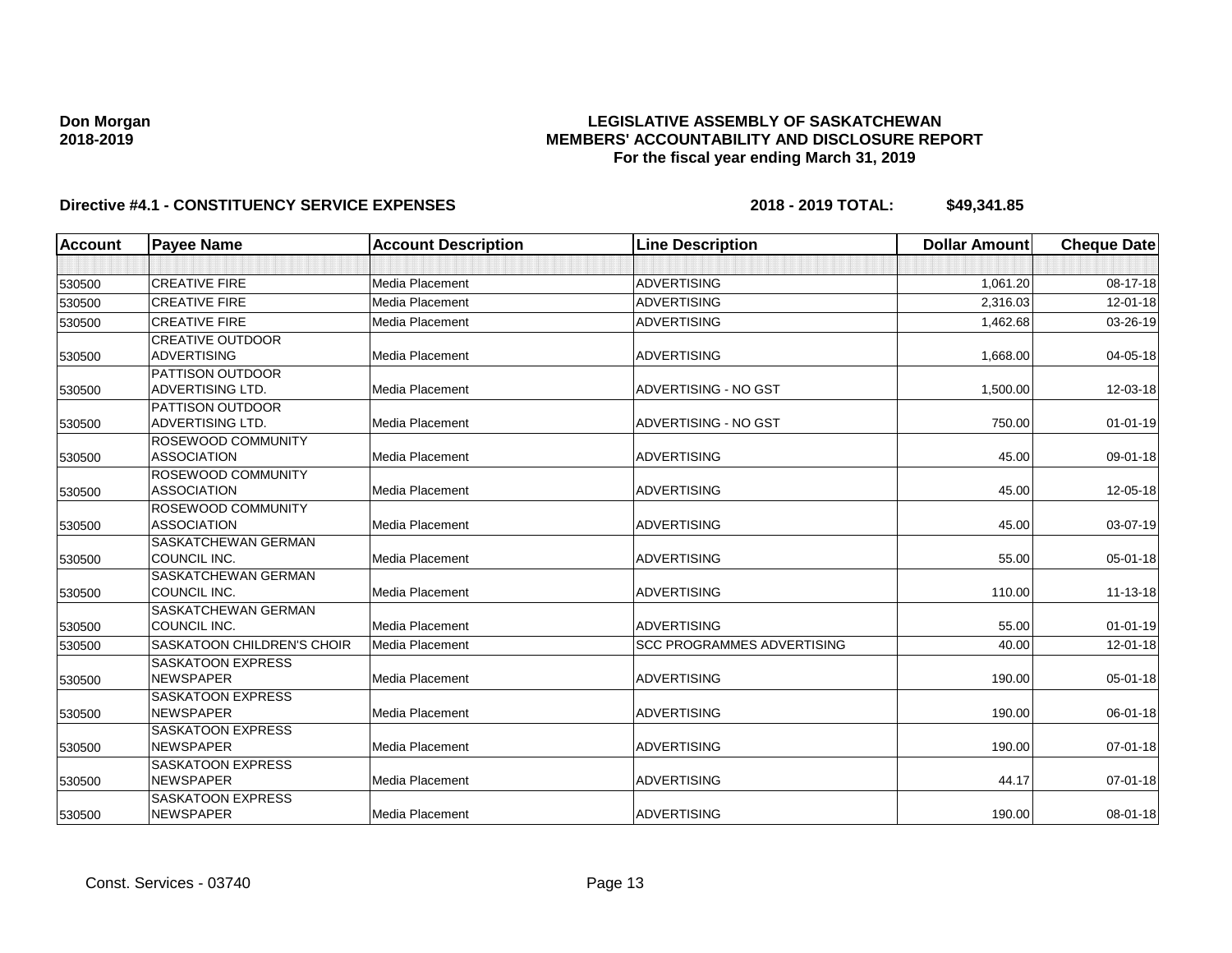### **LEGISLATIVE ASSEMBLY OF SASKATCHEWAN MEMBERS' ACCOUNTABILITY AND DISCLOSURE REPORT For the fiscal year ending March 31, 2019**

| Account | <b>Payee Name</b>                 | <b>Account Description</b> | <b>Line Description</b>           | <b>Dollar Amount</b> | <b>Cheque Date</b> |
|---------|-----------------------------------|----------------------------|-----------------------------------|----------------------|--------------------|
|         |                                   |                            |                                   |                      |                    |
| 530500  | <b>CREATIVE FIRE</b>              | Media Placement            | <b>ADVERTISING</b>                | 1,061.20             | 08-17-18           |
| 530500  | <b>CREATIVE FIRE</b>              | Media Placement            | <b>ADVERTISING</b>                | 2,316.03             | 12-01-18           |
| 530500  | <b>CREATIVE FIRE</b>              | Media Placement            | <b>ADVERTISING</b>                | 1,462.68             | 03-26-19           |
|         | <b>CREATIVE OUTDOOR</b>           |                            |                                   |                      |                    |
| 530500  | <b>ADVERTISING</b>                | Media Placement            | <b>ADVERTISING</b>                | 1,668.00             | $04 - 05 - 18$     |
|         | <b>PATTISON OUTDOOR</b>           |                            |                                   |                      |                    |
| 530500  | <b>ADVERTISING LTD.</b>           | Media Placement            | ADVERTISING - NO GST              | 1,500.00             | 12-03-18           |
|         | <b>PATTISON OUTDOOR</b>           |                            |                                   |                      |                    |
| 530500  | <b>ADVERTISING LTD.</b>           | Media Placement            | ADVERTISING - NO GST              | 750.00               | $01 - 01 - 19$     |
|         | <b>ROSEWOOD COMMUNITY</b>         |                            |                                   |                      |                    |
| 530500  | <b>ASSOCIATION</b>                | Media Placement            | <b>ADVERTISING</b>                | 45.00                | 09-01-18           |
|         | <b>ROSEWOOD COMMUNITY</b>         |                            |                                   |                      |                    |
| 530500  | <b>ASSOCIATION</b>                | <b>Media Placement</b>     | <b>ADVERTISING</b>                | 45.00                | 12-05-18           |
|         | ROSEWOOD COMMUNITY                |                            |                                   |                      |                    |
| 530500  | <b>ASSOCIATION</b>                | Media Placement            | <b>ADVERTISING</b>                | 45.00                | 03-07-19           |
|         | <b>SASKATCHEWAN GERMAN</b>        |                            |                                   |                      |                    |
| 530500  | COUNCIL INC.                      | Media Placement            | <b>ADVERTISING</b>                | 55.00                | 05-01-18           |
|         | <b>SASKATCHEWAN GERMAN</b>        |                            |                                   |                      |                    |
| 530500  | COUNCIL INC.                      | Media Placement            | <b>ADVERTISING</b>                | 110.00               | $11 - 13 - 18$     |
|         | <b>SASKATCHEWAN GERMAN</b>        |                            |                                   |                      |                    |
| 530500  | COUNCIL INC.                      | <b>Media Placement</b>     | <b>ADVERTISING</b>                | 55.00                | $01 - 01 - 19$     |
| 530500  | <b>SASKATOON CHILDREN'S CHOIR</b> | Media Placement            | <b>SCC PROGRAMMES ADVERTISING</b> | 40.00                | 12-01-18           |
|         | <b>SASKATOON EXPRESS</b>          |                            |                                   |                      |                    |
| 530500  | <b>NEWSPAPER</b>                  | <b>Media Placement</b>     | <b>ADVERTISING</b>                | 190.00               | 05-01-18           |
|         | <b>SASKATOON EXPRESS</b>          |                            |                                   |                      |                    |
| 530500  | <b>NEWSPAPER</b>                  | <b>Media Placement</b>     | <b>ADVERTISING</b>                | 190.00               | 06-01-18           |
|         | <b>SASKATOON EXPRESS</b>          |                            |                                   |                      |                    |
| 530500  | <b>NEWSPAPER</b>                  | Media Placement            | <b>ADVERTISING</b>                | 190.00               | 07-01-18           |
|         | <b>SASKATOON EXPRESS</b>          |                            |                                   |                      |                    |
| 530500  | <b>NEWSPAPER</b>                  | <b>Media Placement</b>     | <b>ADVERTISING</b>                | 44.17                | $07 - 01 - 18$     |
|         | <b>SASKATOON EXPRESS</b>          |                            |                                   |                      |                    |
| 530500  | <b>NEWSPAPER</b>                  | Media Placement            | <b>ADVERTISING</b>                | 190.00               | 08-01-18           |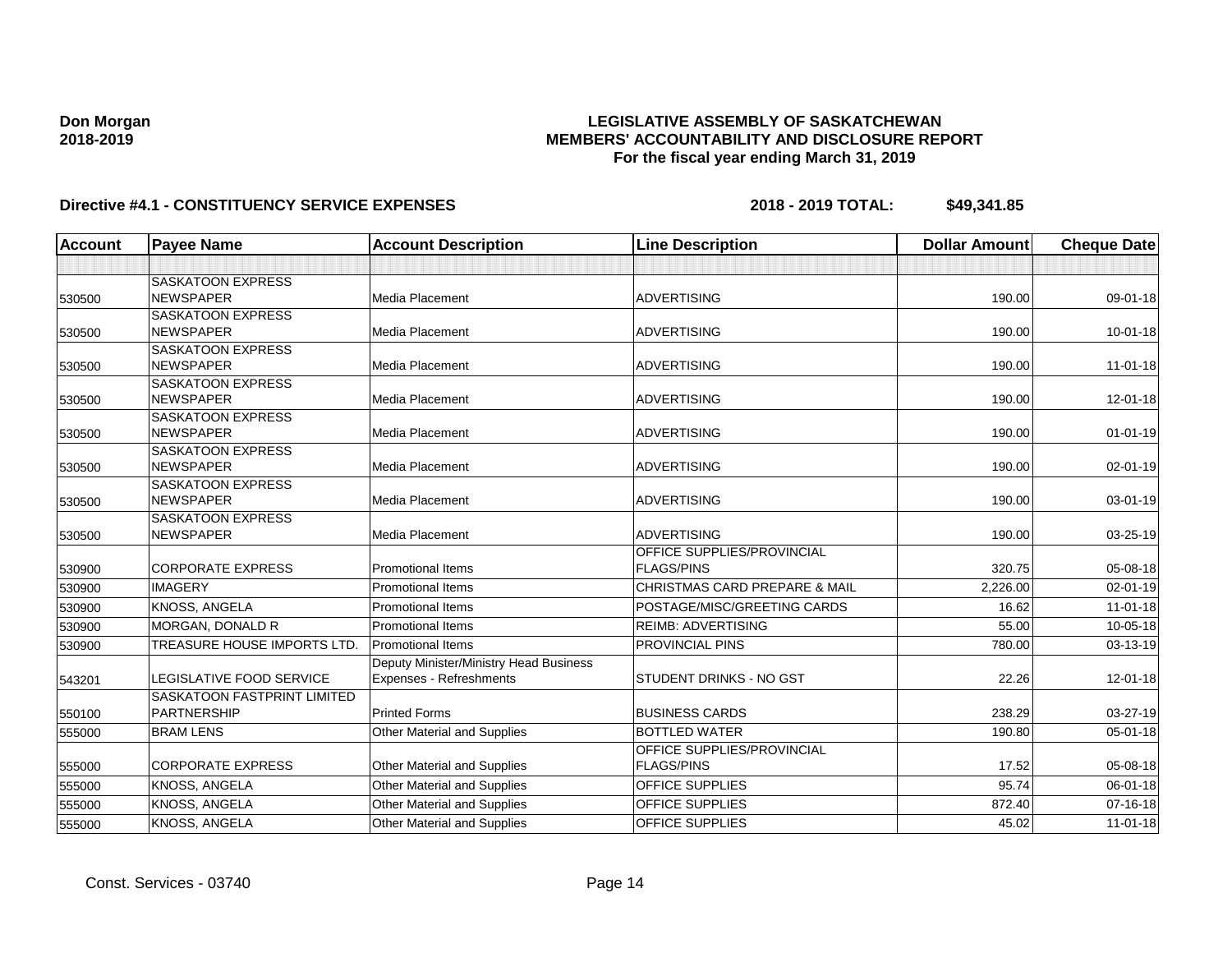### **LEGISLATIVE ASSEMBLY OF SASKATCHEWAN MEMBERS' ACCOUNTABILITY AND DISCLOSURE REPORT For the fiscal year ending March 31, 2019**

| <b>Account</b> | <b>Payee Name</b>                  | <b>Account Description</b>             | <b>Line Description</b>                  | <b>Dollar Amount</b> | <b>Cheque Date</b> |
|----------------|------------------------------------|----------------------------------------|------------------------------------------|----------------------|--------------------|
|                |                                    |                                        |                                          |                      |                    |
|                | <b>SASKATOON EXPRESS</b>           |                                        |                                          |                      |                    |
| 530500         | <b>NEWSPAPER</b>                   | Media Placement                        | <b>ADVERTISING</b>                       | 190.00               | 09-01-18           |
|                | <b>SASKATOON EXPRESS</b>           |                                        |                                          |                      |                    |
| 530500         | <b>NEWSPAPER</b>                   | <b>Media Placement</b>                 | <b>ADVERTISING</b>                       | 190.00               | $10 - 01 - 18$     |
|                | <b>SASKATOON EXPRESS</b>           |                                        |                                          |                      |                    |
| 530500         | <b>NEWSPAPER</b>                   | Media Placement                        | <b>ADVERTISING</b>                       | 190.00               | 11-01-18           |
|                | <b>SASKATOON EXPRESS</b>           |                                        |                                          |                      |                    |
| 530500         | <b>NEWSPAPER</b>                   | Media Placement                        | <b>ADVERTISING</b>                       | 190.00               | 12-01-18           |
|                | <b>SASKATOON EXPRESS</b>           |                                        |                                          |                      |                    |
| 530500         | <b>NEWSPAPER</b>                   | Media Placement                        | <b>ADVERTISING</b>                       | 190.00               | $01 - 01 - 19$     |
|                | <b>SASKATOON EXPRESS</b>           |                                        |                                          |                      |                    |
| 530500         | <b>NEWSPAPER</b>                   | Media Placement                        | <b>ADVERTISING</b>                       | 190.00               | 02-01-19           |
|                | <b>SASKATOON EXPRESS</b>           |                                        |                                          |                      |                    |
| 530500         | <b>NEWSPAPER</b>                   | <b>Media Placement</b>                 | <b>ADVERTISING</b>                       | 190.00               | 03-01-19           |
|                | <b>SASKATOON EXPRESS</b>           |                                        |                                          |                      |                    |
| 530500         | <b>NEWSPAPER</b>                   | <b>Media Placement</b>                 | <b>ADVERTISING</b>                       | 190.00               | 03-25-19           |
|                |                                    |                                        | OFFICE SUPPLIES/PROVINCIAL               |                      |                    |
| 530900         | <b>CORPORATE EXPRESS</b>           | <b>Promotional Items</b>               | <b>FLAGS/PINS</b>                        | 320.75               | 05-08-18           |
| 530900         | <b>IMAGERY</b>                     | <b>Promotional Items</b>               | <b>CHRISTMAS CARD PREPARE &amp; MAIL</b> | 2,226.00             | 02-01-19           |
| 530900         | <b>KNOSS, ANGELA</b>               | <b>Promotional Items</b>               | POSTAGE/MISC/GREETING CARDS              | 16.62                | $11-01-18$         |
| 530900         | <b>MORGAN, DONALD R</b>            | <b>Promotional Items</b>               | <b>REIMB: ADVERTISING</b>                | 55.00                | $10 - 05 - 18$     |
| 530900         | TREASURE HOUSE IMPORTS LTD.        | <b>Promotional Items</b>               | PROVINCIAL PINS                          | 780.00               | 03-13-19           |
|                |                                    | Deputy Minister/Ministry Head Business |                                          |                      |                    |
| 543201         | LEGISLATIVE FOOD SERVICE           | Expenses - Refreshments                | STUDENT DRINKS - NO GST                  | 22.26                | $12 - 01 - 18$     |
|                | <b>SASKATOON FASTPRINT LIMITED</b> |                                        |                                          |                      |                    |
| 550100         | PARTNERSHIP                        | <b>Printed Forms</b>                   | <b>BUSINESS CARDS</b>                    | 238.29               | 03-27-19           |
| 555000         | <b>BRAM LENS</b>                   | <b>Other Material and Supplies</b>     | <b>BOTTLED WATER</b>                     | 190.80               | $05 - 01 - 18$     |
|                |                                    |                                        | OFFICE SUPPLIES/PROVINCIAL               |                      |                    |
| 555000         | <b>CORPORATE EXPRESS</b>           | Other Material and Supplies            | <b>FLAGS/PINS</b>                        | 17.52                | 05-08-18           |
| 555000         | <b>KNOSS, ANGELA</b>               | Other Material and Supplies            | OFFICE SUPPLIES                          | 95.74                | $06 - 01 - 18$     |
| 555000         | <b>KNOSS, ANGELA</b>               | Other Material and Supplies            | OFFICE SUPPLIES                          | 872.40               | $07 - 16 - 18$     |
| 555000         | KNOSS, ANGELA                      | Other Material and Supplies            | <b>OFFICE SUPPLIES</b>                   | 45.02                | $11-01-18$         |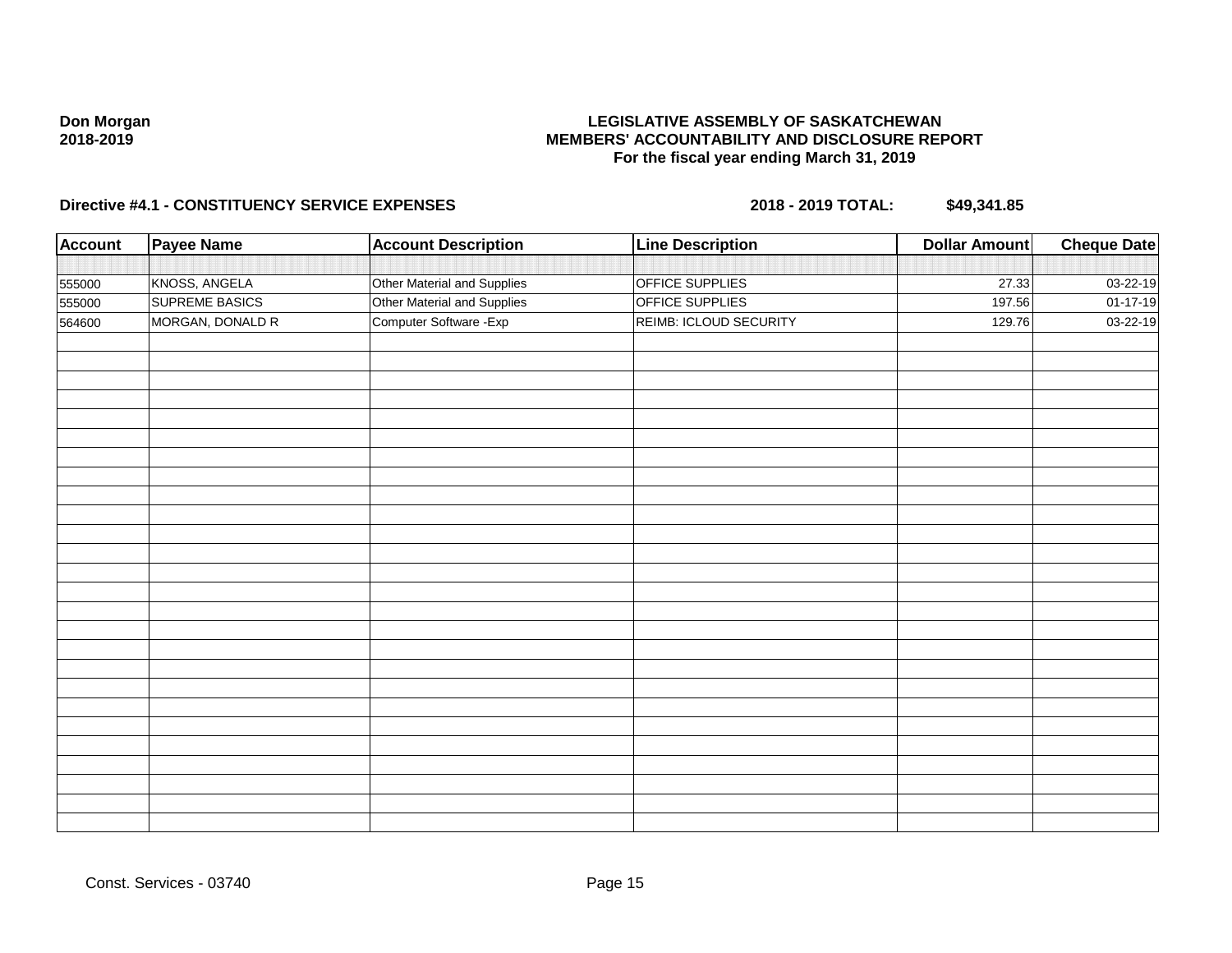### **LEGISLATIVE ASSEMBLY OF SASKATCHEWAN MEMBERS' ACCOUNTABILITY AND DISCLOSURE REPORT For the fiscal year ending March 31, 2019**

| <b>Account</b> | Payee Name            | <b>Account Description</b>  | <b>Line Description</b> | <b>Dollar Amount</b> | <b>Cheque Date</b> |
|----------------|-----------------------|-----------------------------|-------------------------|----------------------|--------------------|
|                |                       |                             |                         |                      |                    |
| 555000         | KNOSS, ANGELA         | Other Material and Supplies | <b>OFFICE SUPPLIES</b>  | 27.33                | 03-22-19           |
| 555000         | <b>SUPREME BASICS</b> | Other Material and Supplies | OFFICE SUPPLIES         | 197.56               | $01 - 17 - 19$     |
| 564600         | MORGAN, DONALD R      | Computer Software - Exp     | REIMB: ICLOUD SECURITY  | 129.76               | 03-22-19           |
|                |                       |                             |                         |                      |                    |
|                |                       |                             |                         |                      |                    |
|                |                       |                             |                         |                      |                    |
|                |                       |                             |                         |                      |                    |
|                |                       |                             |                         |                      |                    |
|                |                       |                             |                         |                      |                    |
|                |                       |                             |                         |                      |                    |
|                |                       |                             |                         |                      |                    |
|                |                       |                             |                         |                      |                    |
|                |                       |                             |                         |                      |                    |
|                |                       |                             |                         |                      |                    |
|                |                       |                             |                         |                      |                    |
|                |                       |                             |                         |                      |                    |
|                |                       |                             |                         |                      |                    |
|                |                       |                             |                         |                      |                    |
|                |                       |                             |                         |                      |                    |
|                |                       |                             |                         |                      |                    |
|                |                       |                             |                         |                      |                    |
|                |                       |                             |                         |                      |                    |
|                |                       |                             |                         |                      |                    |
|                |                       |                             |                         |                      |                    |
|                |                       |                             |                         |                      |                    |
|                |                       |                             |                         |                      |                    |
|                |                       |                             |                         |                      |                    |
|                |                       |                             |                         |                      |                    |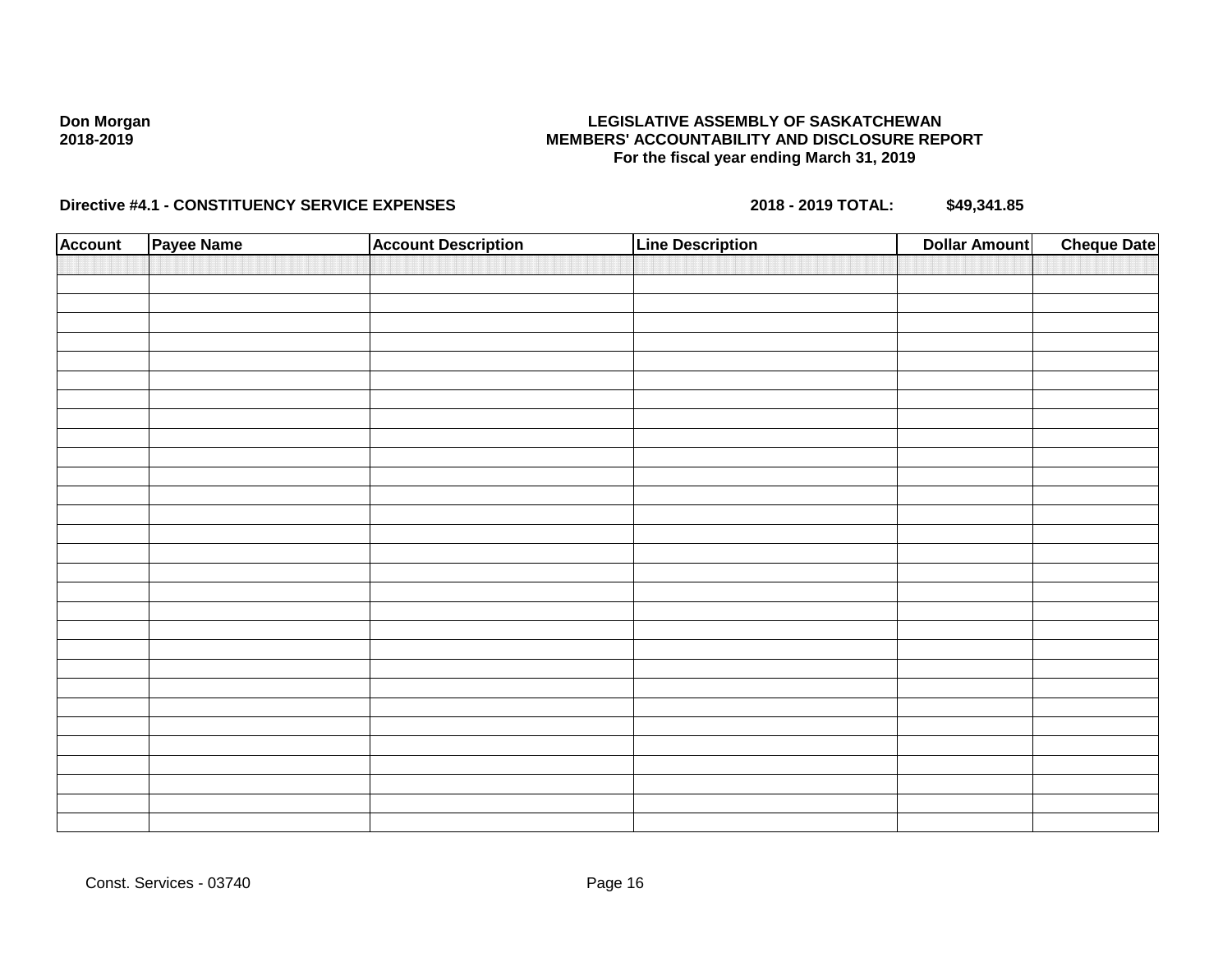### **LEGISLATIVE ASSEMBLY OF SASKATCHEWAN MEMBERS' ACCOUNTABILITY AND DISCLOSURE REPORT For the fiscal year ending March 31, 2019**

| <b>Account</b> | Payee Name | <b>Account Description</b> | <b>Line Description</b> | <b>Dollar Amount</b> | <b>Cheque Date</b> |
|----------------|------------|----------------------------|-------------------------|----------------------|--------------------|
|                |            |                            |                         |                      |                    |
|                |            |                            |                         |                      |                    |
|                |            |                            |                         |                      |                    |
|                |            |                            |                         |                      |                    |
|                |            |                            |                         |                      |                    |
|                |            |                            |                         |                      |                    |
|                |            |                            |                         |                      |                    |
|                |            |                            |                         |                      |                    |
|                |            |                            |                         |                      |                    |
|                |            |                            |                         |                      |                    |
|                |            |                            |                         |                      |                    |
|                |            |                            |                         |                      |                    |
|                |            |                            |                         |                      |                    |
|                |            |                            |                         |                      |                    |
|                |            |                            |                         |                      |                    |
|                |            |                            |                         |                      |                    |
|                |            |                            |                         |                      |                    |
|                |            |                            |                         |                      |                    |
|                |            |                            |                         |                      |                    |
|                |            |                            |                         |                      |                    |
|                |            |                            |                         |                      |                    |
|                |            |                            |                         |                      |                    |
|                |            |                            |                         |                      |                    |
|                |            |                            |                         |                      |                    |
|                |            |                            |                         |                      |                    |
|                |            |                            |                         |                      |                    |
|                |            |                            |                         |                      |                    |
|                |            |                            |                         |                      |                    |
|                |            |                            |                         |                      |                    |
|                |            |                            |                         |                      |                    |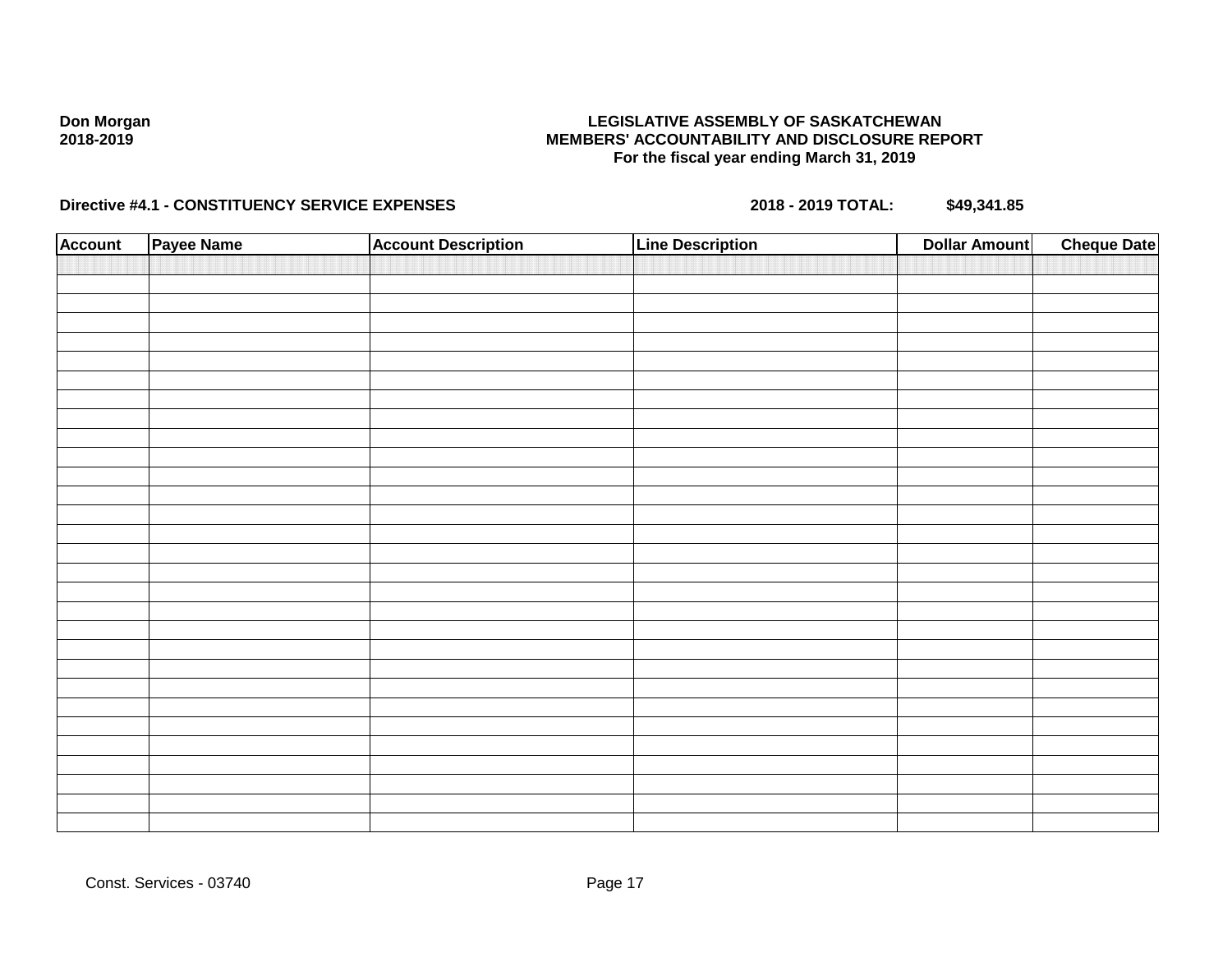### **LEGISLATIVE ASSEMBLY OF SASKATCHEWAN MEMBERS' ACCOUNTABILITY AND DISCLOSURE REPORT For the fiscal year ending March 31, 2019**

| <b>Account</b> | Payee Name | <b>Account Description</b> | <b>Line Description</b> | <b>Dollar Amount</b> | <b>Cheque Date</b> |
|----------------|------------|----------------------------|-------------------------|----------------------|--------------------|
|                |            |                            |                         |                      |                    |
|                |            |                            |                         |                      |                    |
|                |            |                            |                         |                      |                    |
|                |            |                            |                         |                      |                    |
|                |            |                            |                         |                      |                    |
|                |            |                            |                         |                      |                    |
|                |            |                            |                         |                      |                    |
|                |            |                            |                         |                      |                    |
|                |            |                            |                         |                      |                    |
|                |            |                            |                         |                      |                    |
|                |            |                            |                         |                      |                    |
|                |            |                            |                         |                      |                    |
|                |            |                            |                         |                      |                    |
|                |            |                            |                         |                      |                    |
|                |            |                            |                         |                      |                    |
|                |            |                            |                         |                      |                    |
|                |            |                            |                         |                      |                    |
|                |            |                            |                         |                      |                    |
|                |            |                            |                         |                      |                    |
|                |            |                            |                         |                      |                    |
|                |            |                            |                         |                      |                    |
|                |            |                            |                         |                      |                    |
|                |            |                            |                         |                      |                    |
|                |            |                            |                         |                      |                    |
|                |            |                            |                         |                      |                    |
|                |            |                            |                         |                      |                    |
|                |            |                            |                         |                      |                    |
|                |            |                            |                         |                      |                    |
|                |            |                            |                         |                      |                    |
|                |            |                            |                         |                      |                    |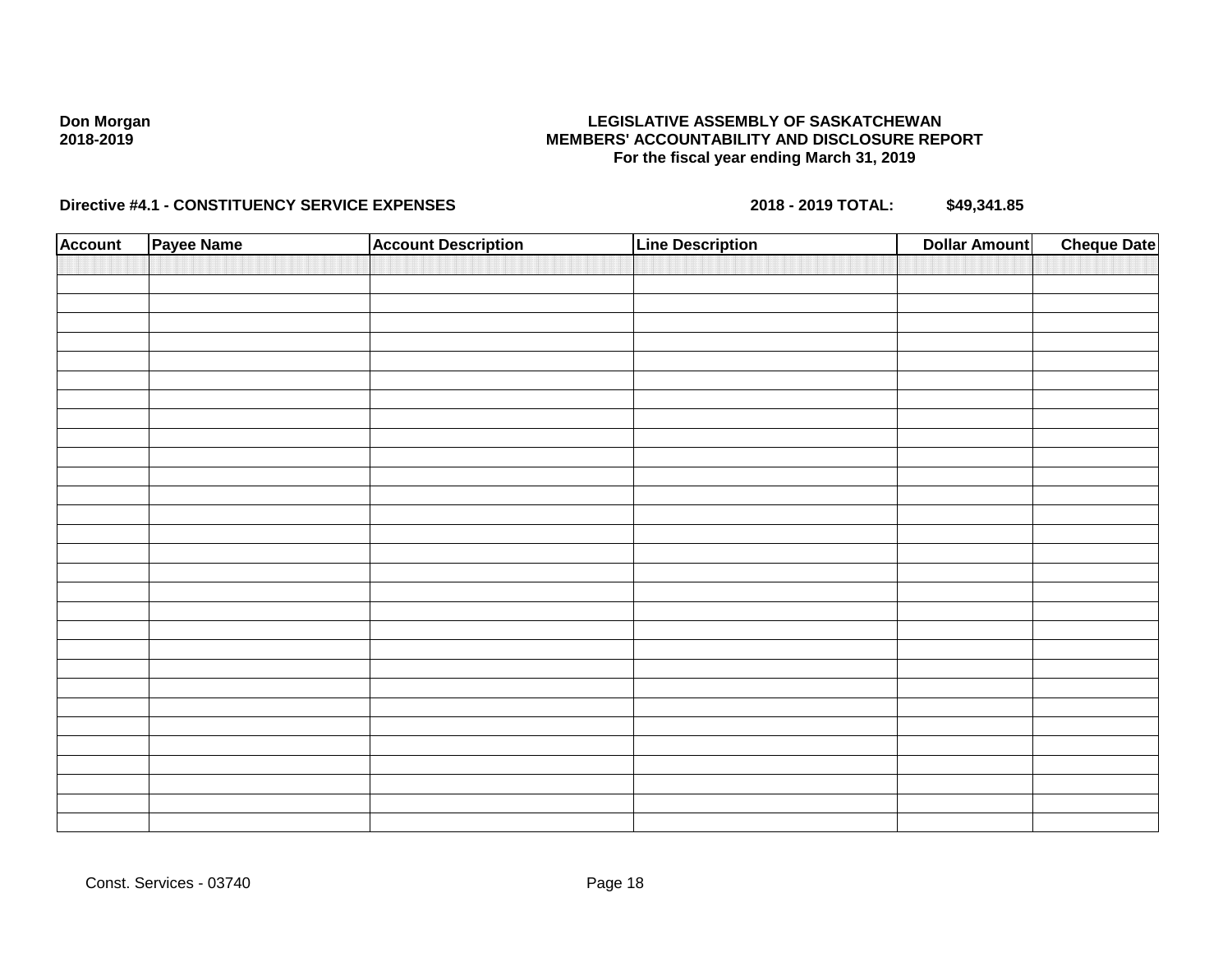### **LEGISLATIVE ASSEMBLY OF SASKATCHEWAN MEMBERS' ACCOUNTABILITY AND DISCLOSURE REPORT For the fiscal year ending March 31, 2019**

| <b>Account</b> | Payee Name | <b>Account Description</b> | <b>Line Description</b> | <b>Dollar Amount</b> | <b>Cheque Date</b> |
|----------------|------------|----------------------------|-------------------------|----------------------|--------------------|
|                |            |                            |                         |                      |                    |
|                |            |                            |                         |                      |                    |
|                |            |                            |                         |                      |                    |
|                |            |                            |                         |                      |                    |
|                |            |                            |                         |                      |                    |
|                |            |                            |                         |                      |                    |
|                |            |                            |                         |                      |                    |
|                |            |                            |                         |                      |                    |
|                |            |                            |                         |                      |                    |
|                |            |                            |                         |                      |                    |
|                |            |                            |                         |                      |                    |
|                |            |                            |                         |                      |                    |
|                |            |                            |                         |                      |                    |
|                |            |                            |                         |                      |                    |
|                |            |                            |                         |                      |                    |
|                |            |                            |                         |                      |                    |
|                |            |                            |                         |                      |                    |
|                |            |                            |                         |                      |                    |
|                |            |                            |                         |                      |                    |
|                |            |                            |                         |                      |                    |
|                |            |                            |                         |                      |                    |
|                |            |                            |                         |                      |                    |
|                |            |                            |                         |                      |                    |
|                |            |                            |                         |                      |                    |
|                |            |                            |                         |                      |                    |
|                |            |                            |                         |                      |                    |
|                |            |                            |                         |                      |                    |
|                |            |                            |                         |                      |                    |
|                |            |                            |                         |                      |                    |
|                |            |                            |                         |                      |                    |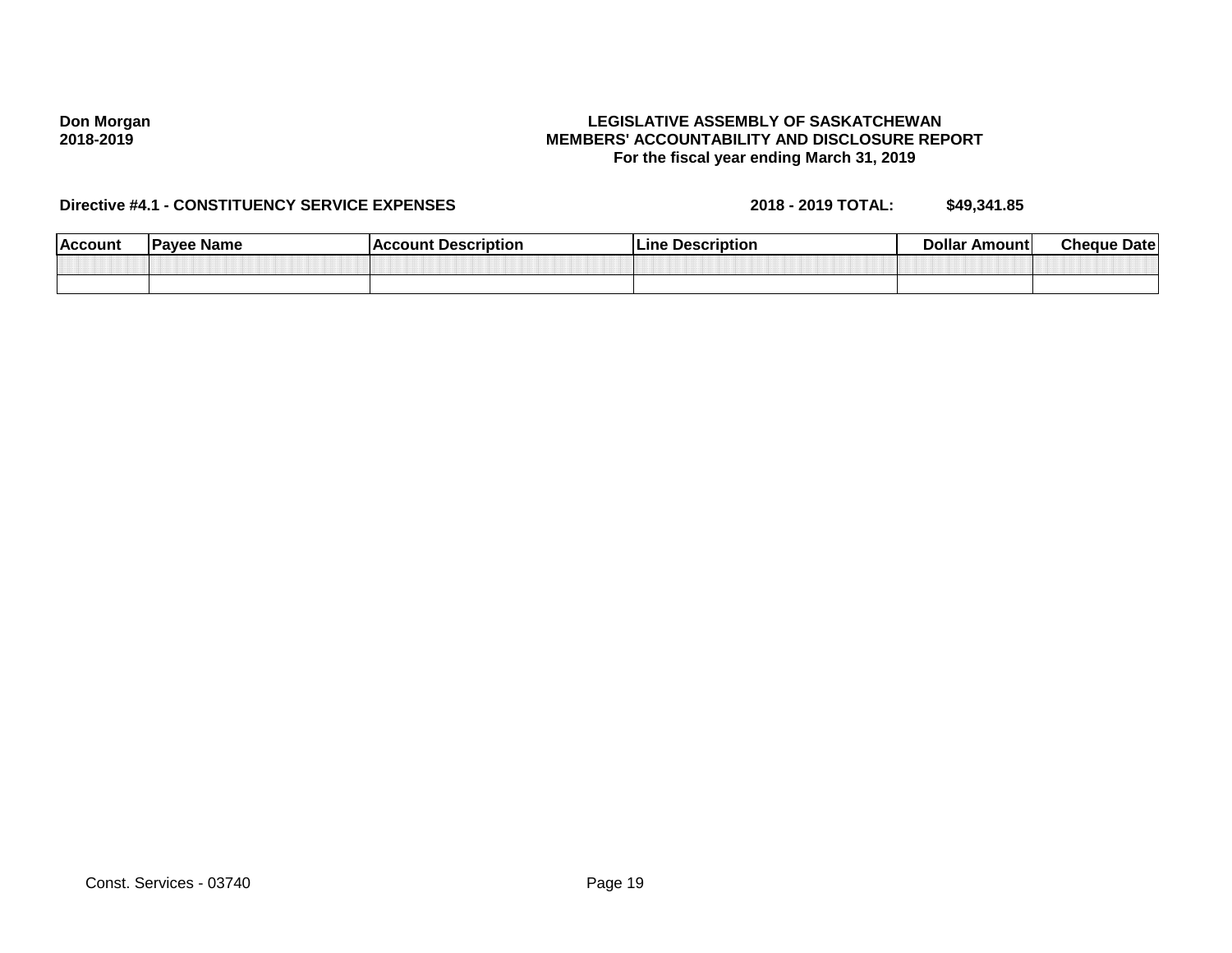#### **LEGISLATIVE ASSEMBLY OF SASKATCHEWAN MEMBERS' ACCOUNTABILITY AND DISCLOSURE REPORT For the fiscal year ending March 31, 2019**

| <b>Account</b> | ⊧ Name<br>⊪Paver | <b>Description</b><br>coun. | <b>Description</b><br>∟ine | Dollar<br>Amount | <b>Cheque</b><br><b>Date</b> |
|----------------|------------------|-----------------------------|----------------------------|------------------|------------------------------|
|                |                  |                             |                            |                  |                              |
|                |                  |                             |                            |                  |                              |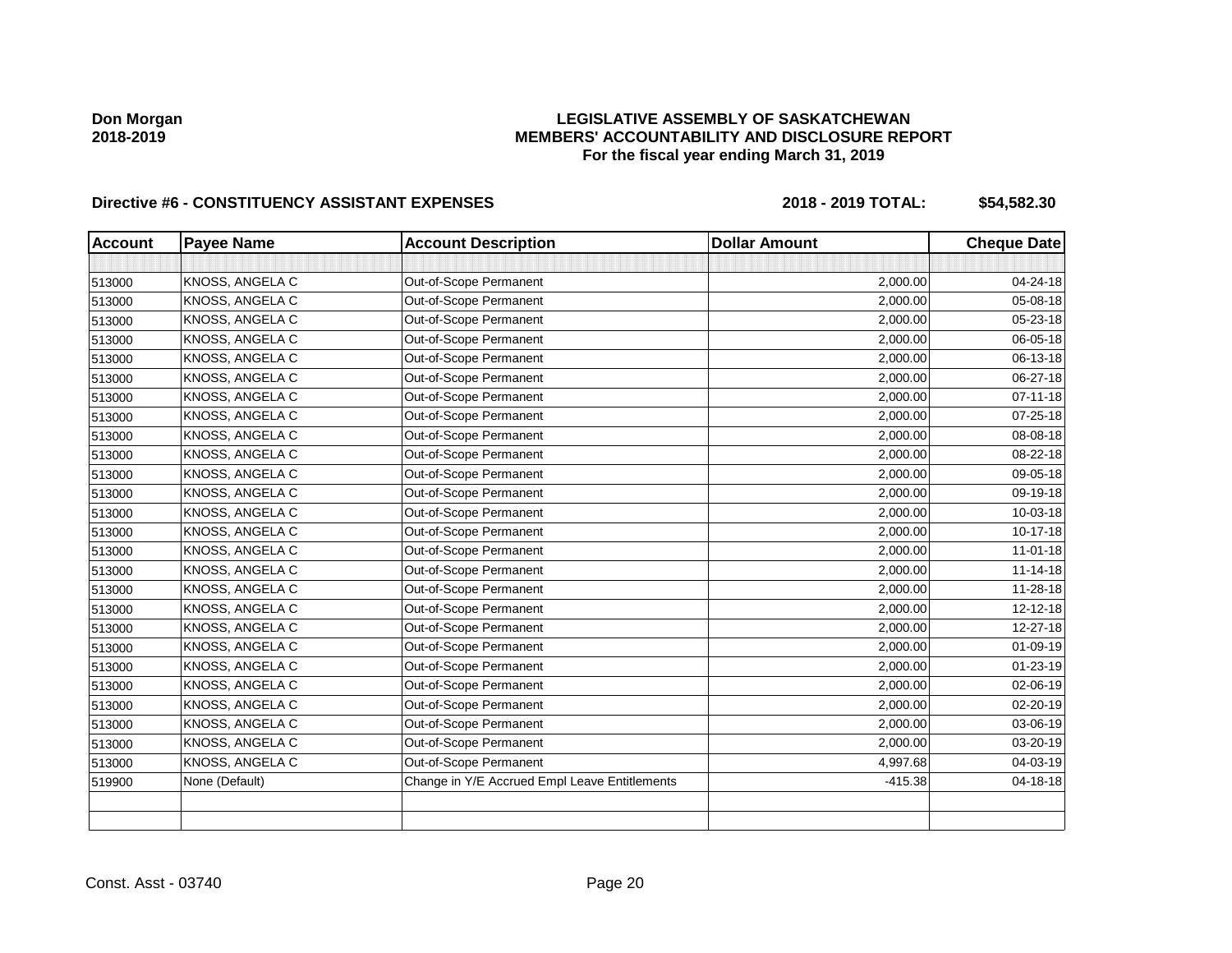### **LEGISLATIVE ASSEMBLY OF SASKATCHEWAN MEMBERS' ACCOUNTABILITY AND DISCLOSURE REPORT For the fiscal year ending March 31, 2019**

| <b>Account</b> | <b>Payee Name</b> | <b>Account Description</b>                    | <b>Dollar Amount</b> | <b>Cheque Date</b> |
|----------------|-------------------|-----------------------------------------------|----------------------|--------------------|
|                |                   |                                               |                      |                    |
| 513000         | KNOSS, ANGELA C   | Out-of-Scope Permanent                        | 2,000.00             | 04-24-18           |
| 513000         | KNOSS, ANGELA C   | Out-of-Scope Permanent                        | 2,000.00             | 05-08-18           |
| 513000         | KNOSS, ANGELA C   | Out-of-Scope Permanent                        | 2,000.00             | 05-23-18           |
| 513000         | KNOSS, ANGELA C   | Out-of-Scope Permanent                        | 2,000.00             | 06-05-18           |
| 513000         | KNOSS, ANGELA C   | Out-of-Scope Permanent                        | 2,000.00             | 06-13-18           |
| 513000         | KNOSS, ANGELA C   | Out-of-Scope Permanent                        | 2,000.00             | 06-27-18           |
| 513000         | KNOSS, ANGELA C   | Out-of-Scope Permanent                        | 2,000.00             | $07 - 11 - 18$     |
| 513000         | KNOSS, ANGELA C   | Out-of-Scope Permanent                        | 2,000.00             | 07-25-18           |
| 513000         | KNOSS, ANGELA C   | Out-of-Scope Permanent                        | 2,000.00             | 08-08-18           |
| 513000         | KNOSS, ANGELA C   | Out-of-Scope Permanent                        | 2,000.00             | 08-22-18           |
| 513000         | KNOSS, ANGELA C   | Out-of-Scope Permanent                        | 2,000.00             | 09-05-18           |
| 513000         | KNOSS, ANGELA C   | Out-of-Scope Permanent                        | 2,000.00             | 09-19-18           |
| 513000         | KNOSS, ANGELA C   | Out-of-Scope Permanent                        | 2,000.00             | 10-03-18           |
| 513000         | KNOSS, ANGELA C   | Out-of-Scope Permanent                        | 2,000.00             | 10-17-18           |
| 513000         | KNOSS, ANGELA C   | Out-of-Scope Permanent                        | 2,000.00             | $11 - 01 - 18$     |
| 513000         | KNOSS, ANGELA C   | Out-of-Scope Permanent                        | 2,000.00             | $11 - 14 - 18$     |
| 513000         | KNOSS, ANGELA C   | Out-of-Scope Permanent                        | 2,000.00             | 11-28-18           |
| 513000         | KNOSS, ANGELA C   | Out-of-Scope Permanent                        | 2,000.00             | $12 - 12 - 18$     |
| 513000         | KNOSS, ANGELA C   | Out-of-Scope Permanent                        | 2,000.00             | 12-27-18           |
| 513000         | KNOSS, ANGELA C   | Out-of-Scope Permanent                        | 2,000.00             | 01-09-19           |
| 513000         | KNOSS, ANGELA C   | Out-of-Scope Permanent                        | 2,000.00             | $01 - 23 - 19$     |
| 513000         | KNOSS, ANGELA C   | Out-of-Scope Permanent                        | 2,000.00             | 02-06-19           |
| 513000         | KNOSS, ANGELA C   | Out-of-Scope Permanent                        | 2,000.00             | $02 - 20 - 19$     |
| 513000         | KNOSS, ANGELA C   | Out-of-Scope Permanent                        | 2,000.00             | 03-06-19           |
| 513000         | KNOSS, ANGELA C   | Out-of-Scope Permanent                        | 2,000.00             | 03-20-19           |
| 513000         | KNOSS, ANGELA C   | Out-of-Scope Permanent                        | 4,997.68             | 04-03-19           |
| 519900         | None (Default)    | Change in Y/E Accrued Empl Leave Entitlements | $-415.38$            | 04-18-18           |
|                |                   |                                               |                      |                    |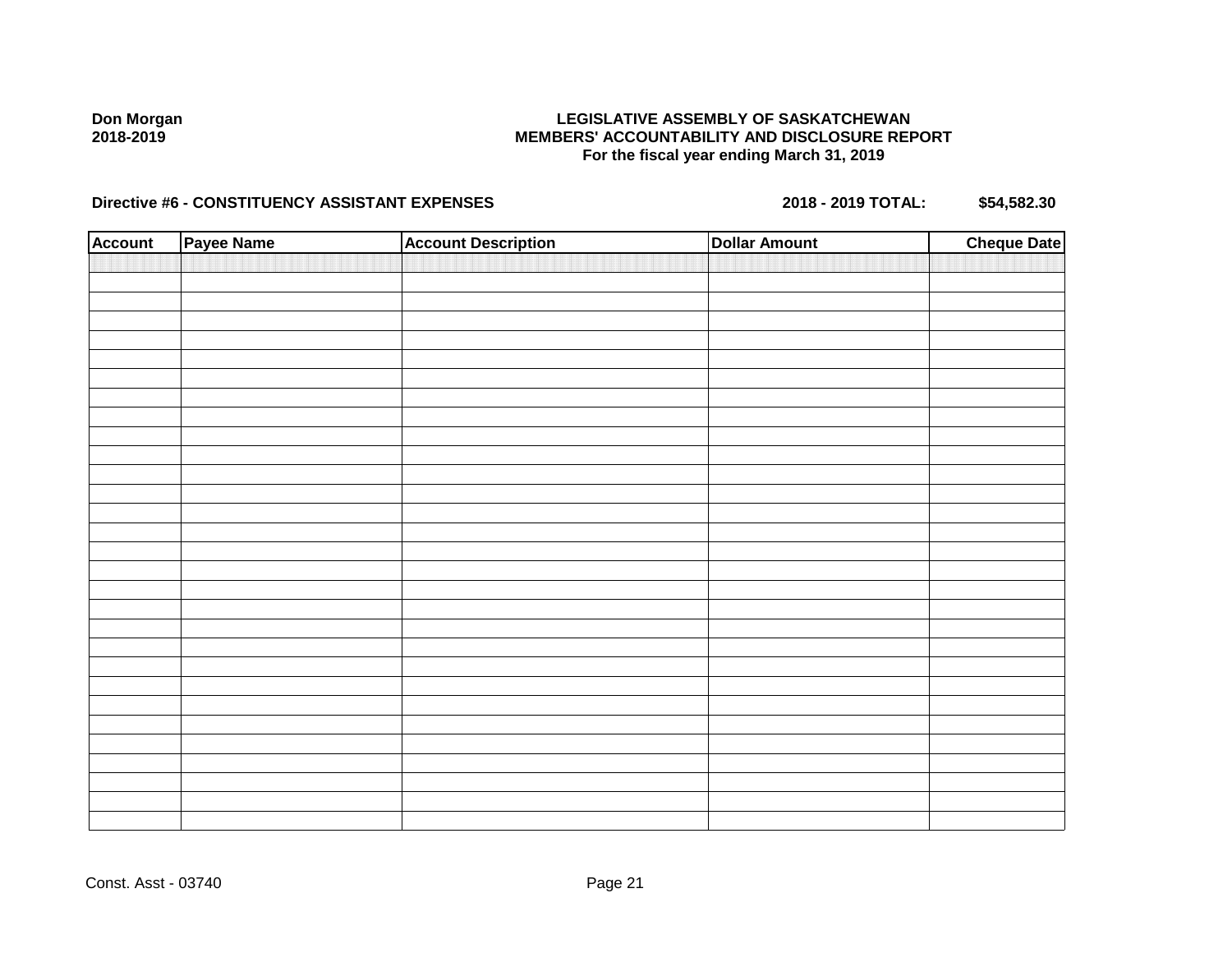### **LEGISLATIVE ASSEMBLY OF SASKATCHEWAN MEMBERS' ACCOUNTABILITY AND DISCLOSURE REPORT For the fiscal year ending March 31, 2019**

| <b>Account</b> | Payee Name | <b>Account Description</b> | <b>Dollar Amount</b> | <b>Cheque Date</b> |
|----------------|------------|----------------------------|----------------------|--------------------|
|                |            |                            |                      |                    |
|                |            |                            |                      |                    |
|                |            |                            |                      |                    |
|                |            |                            |                      |                    |
|                |            |                            |                      |                    |
|                |            |                            |                      |                    |
|                |            |                            |                      |                    |
|                |            |                            |                      |                    |
|                |            |                            |                      |                    |
|                |            |                            |                      |                    |
|                |            |                            |                      |                    |
|                |            |                            |                      |                    |
|                |            |                            |                      |                    |
|                |            |                            |                      |                    |
|                |            |                            |                      |                    |
|                |            |                            |                      |                    |
|                |            |                            |                      |                    |
|                |            |                            |                      |                    |
|                |            |                            |                      |                    |
|                |            |                            |                      |                    |
|                |            |                            |                      |                    |
|                |            |                            |                      |                    |
|                |            |                            |                      |                    |
|                |            |                            |                      |                    |
|                |            |                            |                      |                    |
|                |            |                            |                      |                    |
|                |            |                            |                      |                    |
|                |            |                            |                      |                    |
|                |            |                            |                      |                    |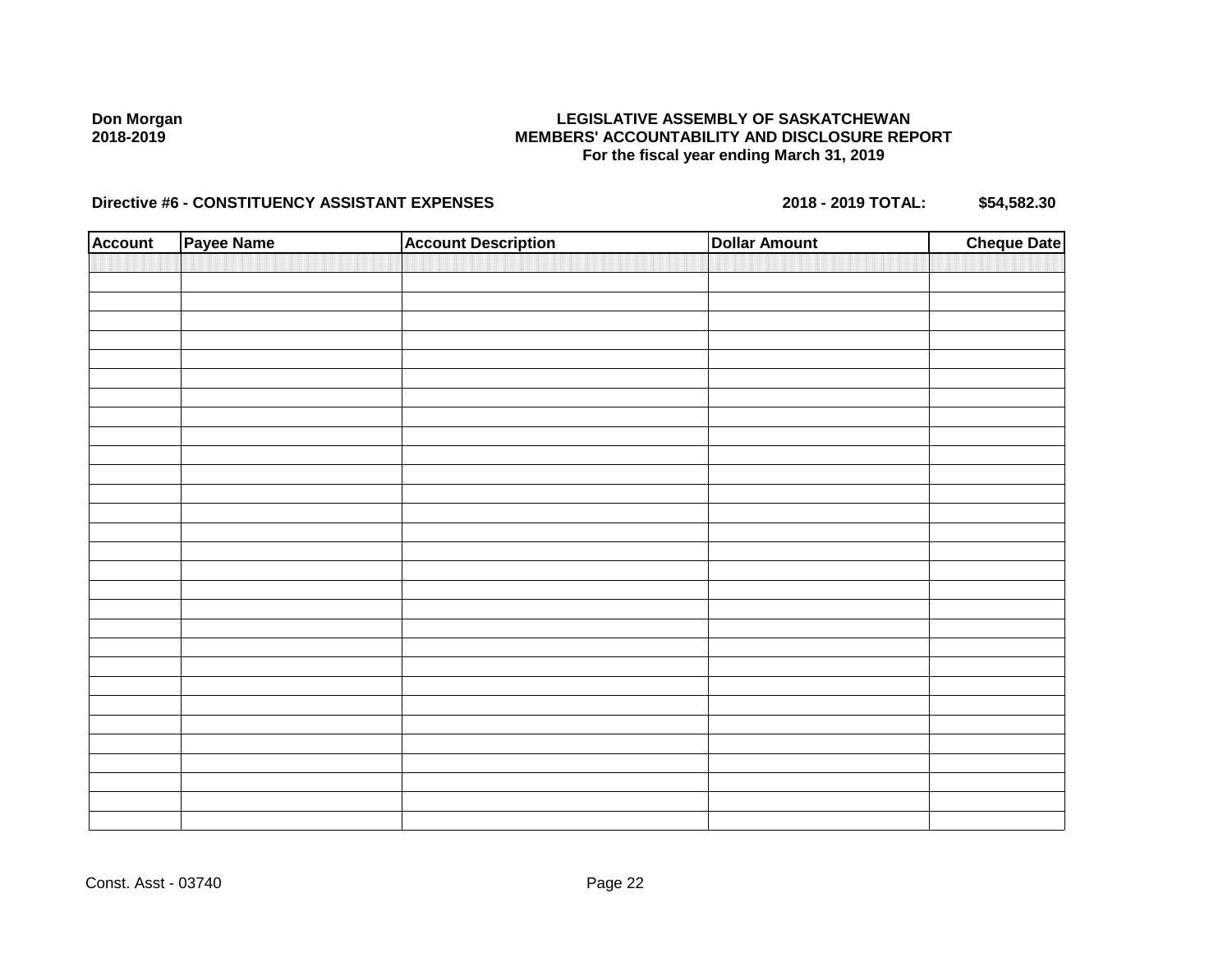### **LEGISLATIVE ASSEMBLY OF SASKATCHEWAN MEMBERS' ACCOUNTABILITY AND DISCLOSURE REPORT For the fiscal year ending March 31, 2019**

| <b>Account</b> | Payee Name | <b>Account Description</b> | <b>Dollar Amount</b> | <b>Cheque Date</b> |
|----------------|------------|----------------------------|----------------------|--------------------|
|                |            |                            |                      |                    |
|                |            |                            |                      |                    |
|                |            |                            |                      |                    |
|                |            |                            |                      |                    |
|                |            |                            |                      |                    |
|                |            |                            |                      |                    |
|                |            |                            |                      |                    |
|                |            |                            |                      |                    |
|                |            |                            |                      |                    |
|                |            |                            |                      |                    |
|                |            |                            |                      |                    |
|                |            |                            |                      |                    |
|                |            |                            |                      |                    |
|                |            |                            |                      |                    |
|                |            |                            |                      |                    |
|                |            |                            |                      |                    |
|                |            |                            |                      |                    |
|                |            |                            |                      |                    |
|                |            |                            |                      |                    |
|                |            |                            |                      |                    |
|                |            |                            |                      |                    |
|                |            |                            |                      |                    |
|                |            |                            |                      |                    |
|                |            |                            |                      |                    |
|                |            |                            |                      |                    |
|                |            |                            |                      |                    |
|                |            |                            |                      |                    |
|                |            |                            |                      |                    |
|                |            |                            |                      |                    |